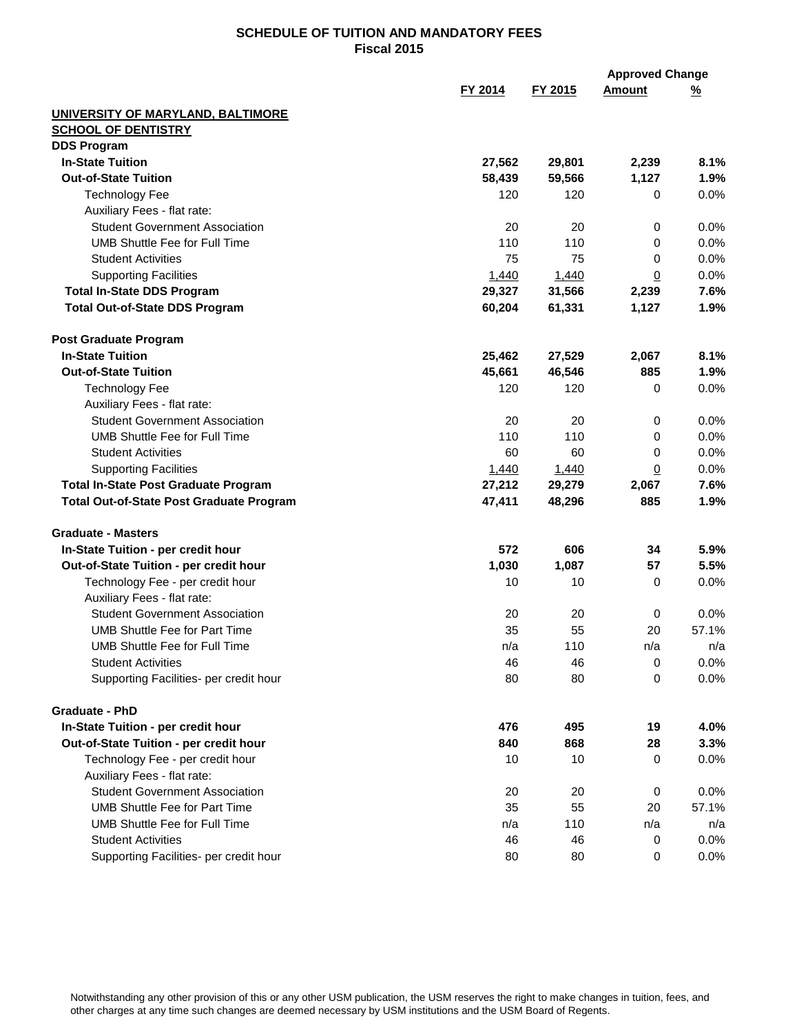|                                                 |         |         | <b>Approved Change</b> |          |
|-------------------------------------------------|---------|---------|------------------------|----------|
|                                                 | FY 2014 | FY 2015 | <b>Amount</b>          | <u>%</u> |
| <b>UNIVERSITY OF MARYLAND, BALTIMORE</b>        |         |         |                        |          |
| <b>SCHOOL OF DENTISTRY</b>                      |         |         |                        |          |
| <b>DDS Program</b>                              |         |         |                        |          |
| <b>In-State Tuition</b>                         | 27,562  | 29,801  | 2,239                  | 8.1%     |
| <b>Out-of-State Tuition</b>                     | 58,439  | 59,566  | 1,127                  | 1.9%     |
| <b>Technology Fee</b>                           | 120     | 120     | 0                      | 0.0%     |
| Auxiliary Fees - flat rate:                     |         |         |                        |          |
| <b>Student Government Association</b>           | 20      | 20      | 0                      | 0.0%     |
| <b>UMB Shuttle Fee for Full Time</b>            | 110     | 110     | 0                      | 0.0%     |
| <b>Student Activities</b>                       | 75      | 75      | 0                      | 0.0%     |
| <b>Supporting Facilities</b>                    | 1,440   | 1,440   | <u>0</u>               | 0.0%     |
| <b>Total In-State DDS Program</b>               | 29,327  | 31,566  | 2,239                  | 7.6%     |
| <b>Total Out-of-State DDS Program</b>           | 60,204  | 61,331  | 1,127                  | 1.9%     |
| <b>Post Graduate Program</b>                    |         |         |                        |          |
| <b>In-State Tuition</b>                         | 25,462  | 27,529  | 2,067                  | 8.1%     |
| <b>Out-of-State Tuition</b>                     | 45,661  | 46,546  | 885                    | 1.9%     |
| <b>Technology Fee</b>                           | 120     | 120     | 0                      | 0.0%     |
| Auxiliary Fees - flat rate:                     |         |         |                        |          |
| <b>Student Government Association</b>           | 20      | 20      | 0                      | 0.0%     |
| <b>UMB Shuttle Fee for Full Time</b>            | 110     | 110     | 0                      | 0.0%     |
| <b>Student Activities</b>                       | 60      | 60      | 0                      | 0.0%     |
| <b>Supporting Facilities</b>                    | 1,440   | 1,440   | $\overline{0}$         | 0.0%     |
| <b>Total In-State Post Graduate Program</b>     | 27,212  | 29,279  | 2,067                  | 7.6%     |
| <b>Total Out-of-State Post Graduate Program</b> | 47,411  | 48,296  | 885                    | 1.9%     |
| <b>Graduate - Masters</b>                       |         |         |                        |          |
| In-State Tuition - per credit hour              | 572     | 606     | 34                     | 5.9%     |
| Out-of-State Tuition - per credit hour          | 1,030   | 1,087   | 57                     | 5.5%     |
| Technology Fee - per credit hour                | 10      | 10      | 0                      | 0.0%     |
| Auxiliary Fees - flat rate:                     |         |         |                        |          |
| <b>Student Government Association</b>           | 20      | 20      | 0                      | 0.0%     |
| <b>UMB Shuttle Fee for Part Time</b>            | 35      | 55      | 20                     | 57.1%    |
| UMB Shuttle Fee for Full Time                   | n/a     | 110     | n/a                    | n/a      |
| <b>Student Activities</b>                       | 46      | 46      | 0                      | 0.0%     |
| Supporting Facilities- per credit hour          | 80      | 80      | 0                      | 0.0%     |
| <b>Graduate - PhD</b>                           |         |         |                        |          |
| In-State Tuition - per credit hour              | 476     | 495     | 19                     | 4.0%     |
| Out-of-State Tuition - per credit hour          | 840     | 868     | 28                     | 3.3%     |
| Technology Fee - per credit hour                | 10      | 10      | 0                      | 0.0%     |
| Auxiliary Fees - flat rate:                     |         |         |                        |          |
| <b>Student Government Association</b>           | 20      | 20      | 0                      | 0.0%     |
| <b>UMB Shuttle Fee for Part Time</b>            | 35      | 55      | 20                     | 57.1%    |
| <b>UMB Shuttle Fee for Full Time</b>            | n/a     | 110     | n/a                    | n/a      |
| <b>Student Activities</b>                       | 46      | 46      | 0                      | 0.0%     |
| Supporting Facilities- per credit hour          | 80      | 80      | 0                      | 0.0%     |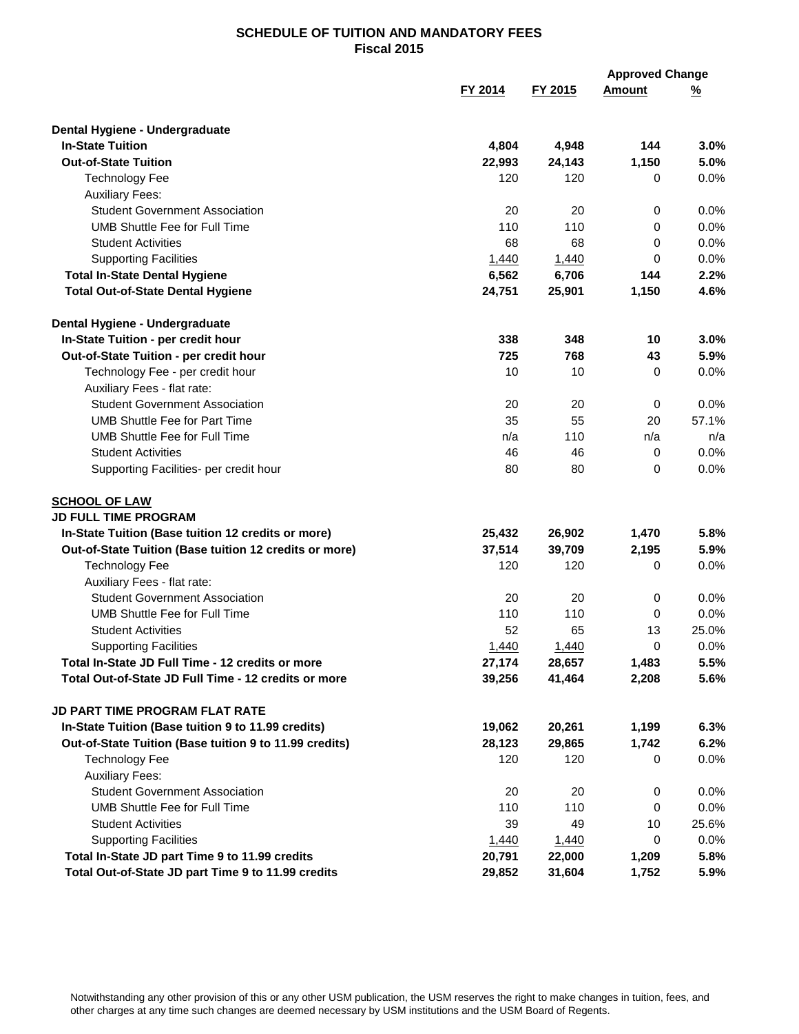|                                                        |         | <b>Approved Change</b> |               |          |
|--------------------------------------------------------|---------|------------------------|---------------|----------|
|                                                        | FY 2014 | FY 2015                | <b>Amount</b> | <u>%</u> |
| Dental Hygiene - Undergraduate                         |         |                        |               |          |
| <b>In-State Tuition</b>                                | 4,804   | 4,948                  | 144           | 3.0%     |
| <b>Out-of-State Tuition</b>                            | 22,993  | 24,143                 | 1,150         | 5.0%     |
| <b>Technology Fee</b>                                  | 120     | 120                    | 0             | 0.0%     |
| <b>Auxiliary Fees:</b>                                 |         |                        |               |          |
| <b>Student Government Association</b>                  | 20      | 20                     | 0             | 0.0%     |
| <b>UMB Shuttle Fee for Full Time</b>                   | 110     | 110                    | 0             | 0.0%     |
| <b>Student Activities</b>                              | 68      | 68                     | 0             | 0.0%     |
| <b>Supporting Facilities</b>                           | 1,440   | 1,440                  | 0             | 0.0%     |
| <b>Total In-State Dental Hygiene</b>                   | 6,562   | 6,706                  | 144           | 2.2%     |
| <b>Total Out-of-State Dental Hygiene</b>               | 24,751  | 25,901                 | 1,150         | 4.6%     |
| Dental Hygiene - Undergraduate                         |         |                        |               |          |
| In-State Tuition - per credit hour                     | 338     | 348                    | 10            | 3.0%     |
| Out-of-State Tuition - per credit hour                 | 725     | 768                    | 43            | 5.9%     |
| Technology Fee - per credit hour                       | 10      | 10                     | $\Omega$      | 0.0%     |
| Auxiliary Fees - flat rate:                            |         |                        |               |          |
| <b>Student Government Association</b>                  | 20      | 20                     | 0             | 0.0%     |
| <b>UMB Shuttle Fee for Part Time</b>                   | 35      | 55                     | 20            | 57.1%    |
| <b>UMB Shuttle Fee for Full Time</b>                   | n/a     | 110                    | n/a           | n/a      |
| <b>Student Activities</b>                              | 46      | 46                     | 0             | 0.0%     |
| Supporting Facilities- per credit hour                 | 80      | 80                     | 0             | 0.0%     |
| <b>SCHOOL OF LAW</b>                                   |         |                        |               |          |
| <b>JD FULL TIME PROGRAM</b>                            |         |                        |               |          |
| In-State Tuition (Base tuition 12 credits or more)     | 25,432  | 26,902                 | 1,470         | 5.8%     |
| Out-of-State Tuition (Base tuition 12 credits or more) | 37,514  | 39,709                 | 2,195         | 5.9%     |
| <b>Technology Fee</b>                                  | 120     | 120                    | 0             | 0.0%     |
| Auxiliary Fees - flat rate:                            |         |                        |               |          |
| <b>Student Government Association</b>                  | 20      | 20                     | 0             | $0.0\%$  |
| <b>UMB Shuttle Fee for Full Time</b>                   | 110     | 110                    | 0             | 0.0%     |
| <b>Student Activities</b>                              | 52      | 65                     | 13            | 25.0%    |
| <b>Supporting Facilities</b>                           | 1,440   | 1,440                  | 0             | 0.0%     |
| Total In-State JD Full Time - 12 credits or more       | 27,174  | 28,657                 | 1,483         | 5.5%     |
| Total Out-of-State JD Full Time - 12 credits or more   | 39,256  | 41,464                 | 2,208         | 5.6%     |
| JD PART TIME PROGRAM FLAT RATE                         |         |                        |               |          |
| In-State Tuition (Base tuition 9 to 11.99 credits)     | 19,062  | 20,261                 | 1,199         | 6.3%     |
| Out-of-State Tuition (Base tuition 9 to 11.99 credits) | 28,123  | 29,865                 | 1,742         | 6.2%     |
| <b>Technology Fee</b>                                  | 120     | 120                    | 0             | 0.0%     |
| <b>Auxiliary Fees:</b>                                 |         |                        |               |          |
| <b>Student Government Association</b>                  | 20      | 20                     | 0             | $0.0\%$  |
| UMB Shuttle Fee for Full Time                          | 110     | 110                    | 0             | 0.0%     |
| <b>Student Activities</b>                              | 39      | 49                     | 10            | 25.6%    |
| <b>Supporting Facilities</b>                           | 1,440   | 1,440                  | 0             | 0.0%     |
| Total In-State JD part Time 9 to 11.99 credits         | 20,791  | 22,000                 | 1,209         | 5.8%     |
| Total Out-of-State JD part Time 9 to 11.99 credits     | 29,852  | 31,604                 | 1,752         | 5.9%     |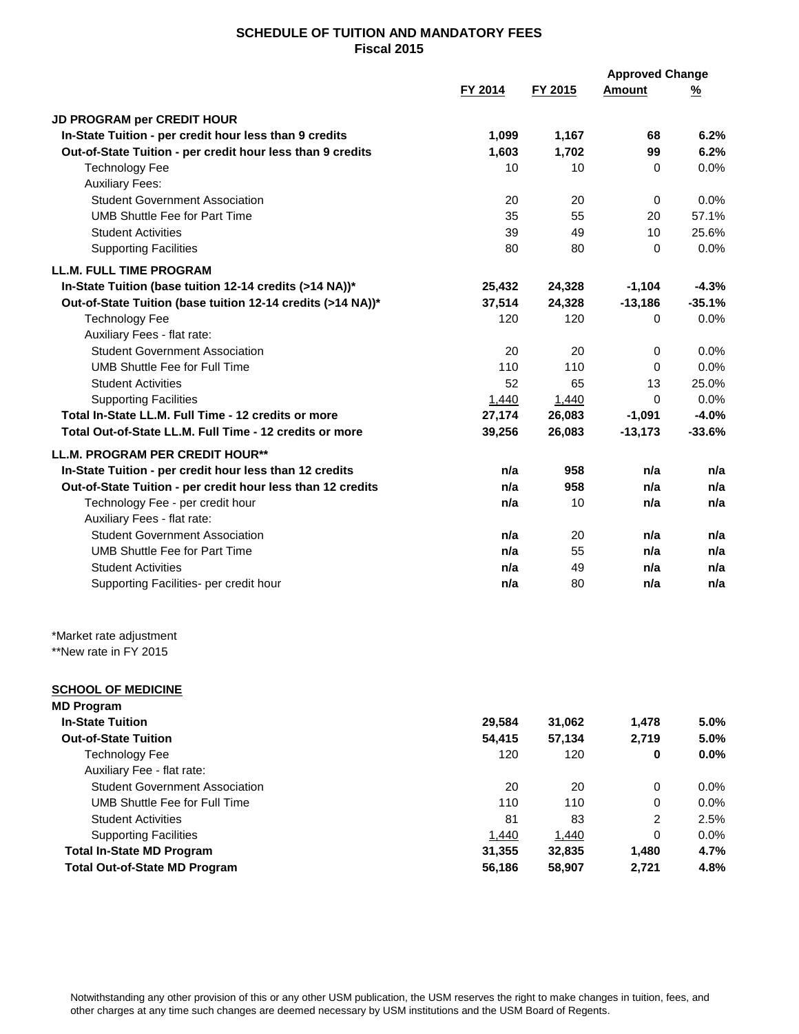|                                                                      |                 |                 | <b>Approved Change</b> |               |
|----------------------------------------------------------------------|-----------------|-----------------|------------------------|---------------|
|                                                                      | FY 2014         | FY 2015         | <b>Amount</b>          | <u>%</u>      |
| JD PROGRAM per CREDIT HOUR                                           |                 |                 |                        |               |
| In-State Tuition - per credit hour less than 9 credits               | 1,099           | 1,167           | 68                     | 6.2%          |
| Out-of-State Tuition - per credit hour less than 9 credits           | 1,603           | 1,702           | 99                     | 6.2%          |
| <b>Technology Fee</b>                                                | 10              | 10              | 0                      | 0.0%          |
| <b>Auxiliary Fees:</b>                                               |                 |                 |                        |               |
| <b>Student Government Association</b>                                | 20              | 20              | 0                      | 0.0%          |
| <b>UMB Shuttle Fee for Part Time</b>                                 | 35              | 55              | 20                     | 57.1%         |
| <b>Student Activities</b>                                            | 39              | 49              | 10                     | 25.6%         |
| <b>Supporting Facilities</b>                                         | 80              | 80              | $\mathbf 0$            | 0.0%          |
| <b>LL.M. FULL TIME PROGRAM</b>                                       |                 |                 |                        |               |
| In-State Tuition (base tuition 12-14 credits (>14 NA))*              | 25,432          | 24,328          | $-1,104$               | $-4.3%$       |
|                                                                      | 37,514          |                 |                        | $-35.1%$      |
| Out-of-State Tuition (base tuition 12-14 credits (>14 NA))*          | 120             | 24,328<br>120   | $-13,186$              |               |
| <b>Technology Fee</b>                                                |                 |                 | 0                      | 0.0%          |
| Auxiliary Fees - flat rate:<br><b>Student Government Association</b> | 20              | 20              | 0                      | 0.0%          |
| <b>UMB Shuttle Fee for Full Time</b>                                 | 110             | 110             |                        |               |
| <b>Student Activities</b>                                            | 52              | 65              | 0<br>13                | 0.0%<br>25.0% |
| <b>Supporting Facilities</b>                                         |                 |                 | 0                      | 0.0%          |
| Total In-State LL.M. Full Time - 12 credits or more                  | 1,440<br>27,174 | 1,440<br>26,083 | $-1,091$               | $-4.0%$       |
| Total Out-of-State LL.M. Full Time - 12 credits or more              |                 |                 | $-13,173$              | $-33.6%$      |
|                                                                      | 39,256          | 26,083          |                        |               |
| LL.M. PROGRAM PER CREDIT HOUR**                                      |                 |                 |                        |               |
| In-State Tuition - per credit hour less than 12 credits              | n/a             | 958             | n/a                    | n/a           |
| Out-of-State Tuition - per credit hour less than 12 credits          | n/a             | 958             | n/a                    | n/a           |
| Technology Fee - per credit hour                                     | n/a             | 10              | n/a                    | n/a           |
| Auxiliary Fees - flat rate:                                          |                 |                 |                        |               |
| <b>Student Government Association</b>                                | n/a             | 20              | n/a                    | n/a           |
| <b>UMB Shuttle Fee for Part Time</b>                                 | n/a             | 55              | n/a                    | n/a           |
| <b>Student Activities</b>                                            | n/a             | 49              | n/a                    | n/a           |
| Supporting Facilities- per credit hour                               | n/a             | 80              | n/a                    | n/a           |
| *Market rate adjustment                                              |                 |                 |                        |               |
| **New rate in FY 2015                                                |                 |                 |                        |               |
| <b>SCHOOL OF MEDICINE</b>                                            |                 |                 |                        |               |
| <b>MD Program</b>                                                    |                 |                 |                        |               |
| <b>In-State Tuition</b>                                              | 29,584          | 31,062          | 1,478                  | 5.0%          |
| <b>Out-of-State Tuition</b>                                          | 54,415          | 57,134          | 2,719                  | 5.0%          |
| <b>Technology Fee</b>                                                | 120             | 120             | 0                      | 0.0%          |
| Auxiliary Fee - flat rate:                                           |                 |                 |                        |               |
| <b>Student Government Association</b>                                | 20              | 20              | 0                      | 0.0%          |
| <b>UMB Shuttle Fee for Full Time</b>                                 | 110             | 110             | 0                      | 0.0%          |
| <b>Student Activities</b>                                            | 81              | 83              | $\overline{2}$         | 2.5%          |
| <b>Supporting Facilities</b>                                         | 1,440           | 1,440           | 0                      | 0.0%          |
| <b>Total In-State MD Program</b>                                     | 31,355          | 32,835          | 1,480                  | 4.7%          |
| <b>Total Out-of-State MD Program</b>                                 | 56,186          | 58,907          | 2,721                  | 4.8%          |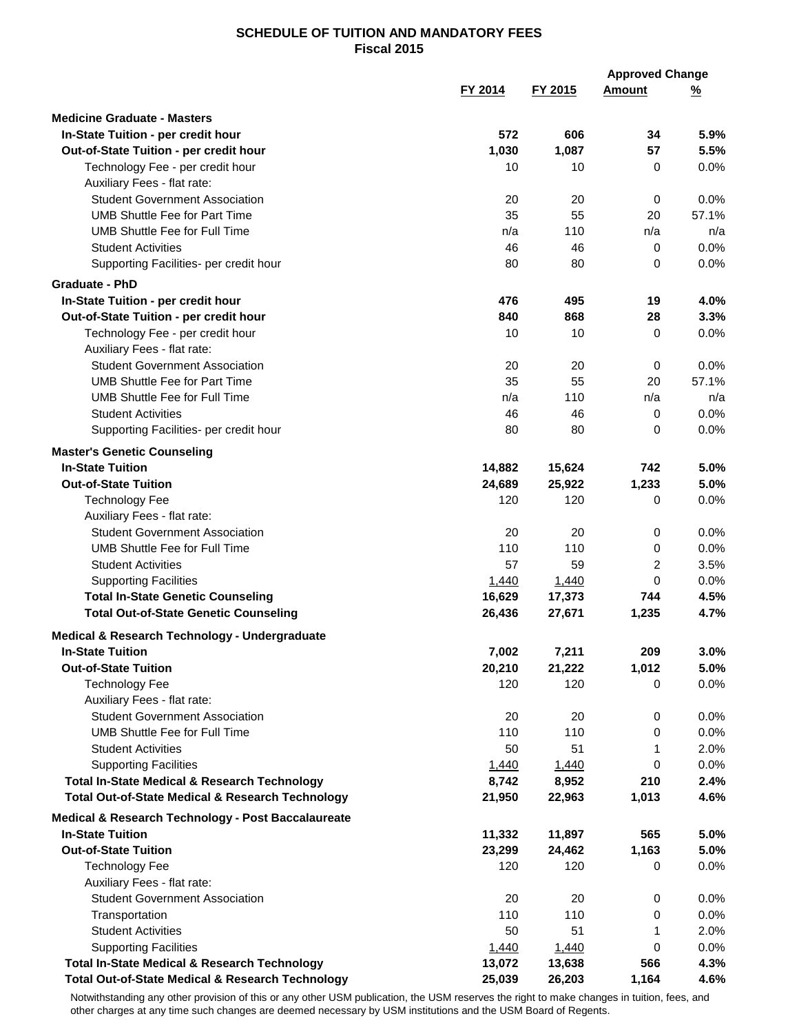|                                                             |         |         | <b>Approved Change</b> |          |
|-------------------------------------------------------------|---------|---------|------------------------|----------|
|                                                             | FY 2014 | FY 2015 | <b>Amount</b>          | <u>%</u> |
| <b>Medicine Graduate - Masters</b>                          |         |         |                        |          |
| In-State Tuition - per credit hour                          | 572     | 606     | 34                     | 5.9%     |
| Out-of-State Tuition - per credit hour                      | 1,030   | 1,087   | 57                     | 5.5%     |
| Technology Fee - per credit hour                            | 10      | 10      | 0                      | 0.0%     |
| Auxiliary Fees - flat rate:                                 |         |         |                        |          |
| <b>Student Government Association</b>                       | 20      | 20      | 0                      | 0.0%     |
| <b>UMB Shuttle Fee for Part Time</b>                        | 35      | 55      | 20                     | 57.1%    |
| UMB Shuttle Fee for Full Time                               | n/a     | 110     | n/a                    | n/a      |
| <b>Student Activities</b>                                   | 46      | 46      | 0                      | 0.0%     |
| Supporting Facilities- per credit hour                      | 80      | 80      | 0                      | 0.0%     |
|                                                             |         |         |                        |          |
| <b>Graduate - PhD</b>                                       |         |         |                        |          |
| In-State Tuition - per credit hour                          | 476     | 495     | 19                     | 4.0%     |
| Out-of-State Tuition - per credit hour                      | 840     | 868     | 28                     | 3.3%     |
| Technology Fee - per credit hour                            | 10      | 10      | 0                      | 0.0%     |
| Auxiliary Fees - flat rate:                                 |         |         |                        |          |
| <b>Student Government Association</b>                       | 20      | 20      | 0                      | 0.0%     |
| <b>UMB Shuttle Fee for Part Time</b>                        | 35      | 55      | 20                     | 57.1%    |
| <b>UMB Shuttle Fee for Full Time</b>                        | n/a     | 110     | n/a                    | n/a      |
| <b>Student Activities</b>                                   | 46      | 46      | 0                      | 0.0%     |
| Supporting Facilities- per credit hour                      | 80      | 80      | 0                      | 0.0%     |
| <b>Master's Genetic Counseling</b>                          |         |         |                        |          |
| <b>In-State Tuition</b>                                     | 14,882  | 15,624  | 742                    | 5.0%     |
| <b>Out-of-State Tuition</b>                                 | 24,689  | 25,922  | 1,233                  | 5.0%     |
| <b>Technology Fee</b>                                       | 120     | 120     | $\mathbf 0$            | 0.0%     |
| Auxiliary Fees - flat rate:                                 |         |         |                        |          |
| <b>Student Government Association</b>                       | 20      | 20      | 0                      | 0.0%     |
| <b>UMB Shuttle Fee for Full Time</b>                        | 110     | 110     | 0                      | 0.0%     |
| Student Activities                                          | 57      | 59      | 2                      | 3.5%     |
| <b>Supporting Facilities</b>                                | 1,440   | 1,440   | 0                      | 0.0%     |
| <b>Total In-State Genetic Counseling</b>                    | 16,629  | 17,373  | 744                    | 4.5%     |
| <b>Total Out-of-State Genetic Counseling</b>                | 26,436  | 27,671  | 1,235                  | 4.7%     |
| Medical & Research Technology - Undergraduate               |         |         |                        |          |
| <b>In-State Tuition</b>                                     | 7,002   | 7,211   | 209                    | 3.0%     |
| <b>Out-of-State Tuition</b>                                 | 20,210  | 21,222  | 1,012                  | 5.0%     |
| <b>Technology Fee</b>                                       | 120     | 120     | 0                      | 0.0%     |
| Auxiliary Fees - flat rate:                                 |         |         |                        |          |
| <b>Student Government Association</b>                       | 20      | 20      | 0                      | $0.0\%$  |
| <b>UMB Shuttle Fee for Full Time</b>                        | 110     | 110     | 0                      | 0.0%     |
| <b>Student Activities</b>                                   | 50      | 51      | 1                      | 2.0%     |
| <b>Supporting Facilities</b>                                | 1,440   | 1,440   | 0                      | $0.0\%$  |
| <b>Total In-State Medical &amp; Research Technology</b>     | 8,742   | 8,952   | 210                    | 2.4%     |
| <b>Total Out-of-State Medical &amp; Research Technology</b> | 21,950  | 22,963  | 1,013                  | 4.6%     |
| Medical & Research Technology - Post Baccalaureate          |         |         |                        |          |
| <b>In-State Tuition</b>                                     | 11,332  | 11,897  | 565                    | 5.0%     |
| <b>Out-of-State Tuition</b>                                 | 23,299  | 24,462  | 1,163                  | 5.0%     |
| <b>Technology Fee</b>                                       | 120     | 120     | 0                      | $0.0\%$  |
| Auxiliary Fees - flat rate:                                 |         |         |                        |          |
| <b>Student Government Association</b>                       | 20      | 20      | 0                      | $0.0\%$  |
| Transportation                                              | 110     | 110     | 0                      | $0.0\%$  |
| <b>Student Activities</b>                                   | 50      | 51      | 1                      | 2.0%     |
| <b>Supporting Facilities</b>                                | 1,440   | 1,440   | 0                      | 0.0%     |
| <b>Total In-State Medical &amp; Research Technology</b>     | 13,072  | 13,638  | 566                    | 4.3%     |
| <b>Total Out-of-State Medical &amp; Research Technology</b> | 25,039  | 26,203  | 1,164                  | 4.6%     |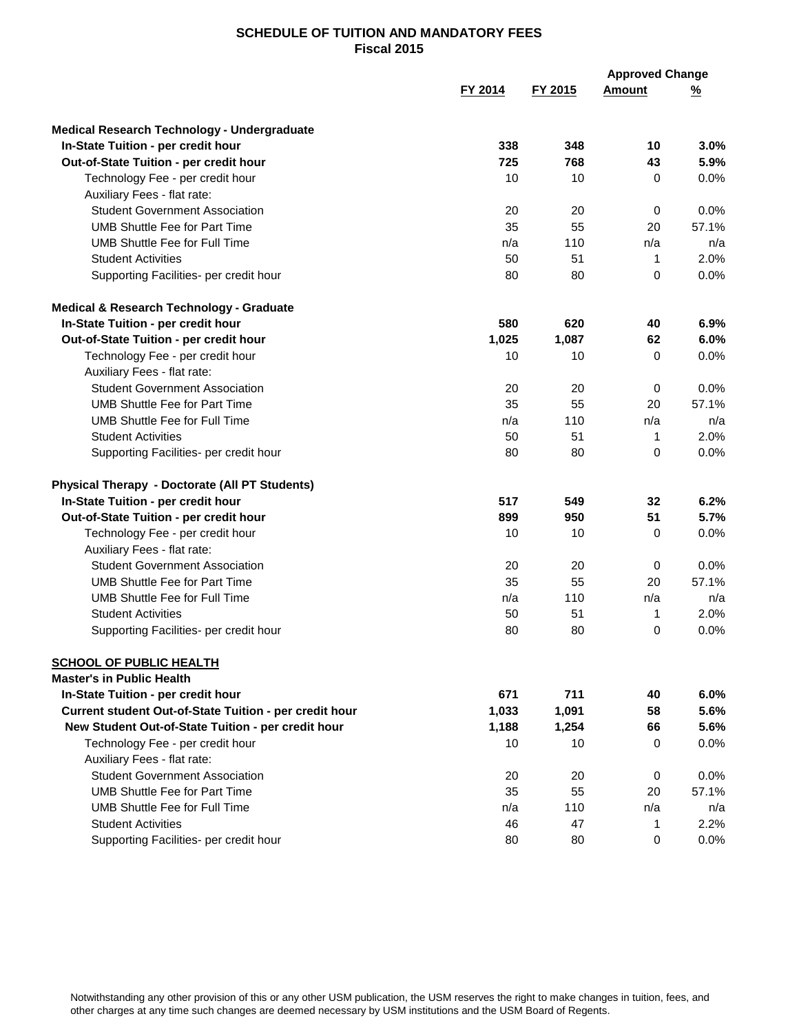|                                                        |         |         | <b>Approved Change</b> |          |  |
|--------------------------------------------------------|---------|---------|------------------------|----------|--|
|                                                        | FY 2014 | FY 2015 | <b>Amount</b>          | <u>%</u> |  |
| Medical Research Technology - Undergraduate            |         |         |                        |          |  |
| In-State Tuition - per credit hour                     | 338     | 348     | 10                     | 3.0%     |  |
| Out-of-State Tuition - per credit hour                 | 725     | 768     | 43                     | 5.9%     |  |
| Technology Fee - per credit hour                       | 10      | 10      | 0                      | 0.0%     |  |
| Auxiliary Fees - flat rate:                            |         |         |                        |          |  |
| <b>Student Government Association</b>                  | 20      | 20      | 0                      | 0.0%     |  |
| <b>UMB Shuttle Fee for Part Time</b>                   | 35      | 55      | 20                     | 57.1%    |  |
| <b>UMB Shuttle Fee for Full Time</b>                   | n/a     | 110     | n/a                    | n/a      |  |
| <b>Student Activities</b>                              | 50      | 51      | $\mathbf{1}$           | 2.0%     |  |
| Supporting Facilities- per credit hour                 | 80      | 80      | 0                      | 0.0%     |  |
| Medical & Research Technology - Graduate               |         |         |                        |          |  |
| In-State Tuition - per credit hour                     | 580     | 620     | 40                     | 6.9%     |  |
| Out-of-State Tuition - per credit hour                 | 1,025   | 1,087   | 62                     | 6.0%     |  |
| Technology Fee - per credit hour                       | 10      | 10      | 0                      | 0.0%     |  |
| Auxiliary Fees - flat rate:                            |         |         |                        |          |  |
| <b>Student Government Association</b>                  | 20      | 20      | 0                      | 0.0%     |  |
| <b>UMB Shuttle Fee for Part Time</b>                   | 35      | 55      | 20                     | 57.1%    |  |
| <b>UMB Shuttle Fee for Full Time</b>                   | n/a     | 110     | n/a                    | n/a      |  |
| <b>Student Activities</b>                              | 50      | 51      | 1                      | 2.0%     |  |
| Supporting Facilities- per credit hour                 | 80      | 80      | 0                      | 0.0%     |  |
| Physical Therapy - Doctorate (All PT Students)         |         |         |                        |          |  |
| In-State Tuition - per credit hour                     | 517     | 549     | 32                     | 6.2%     |  |
| Out-of-State Tuition - per credit hour                 | 899     | 950     | 51                     | 5.7%     |  |
| Technology Fee - per credit hour                       | 10      | 10      | 0                      | 0.0%     |  |
| Auxiliary Fees - flat rate:                            |         |         |                        |          |  |
| <b>Student Government Association</b>                  | 20      | 20      | 0                      | 0.0%     |  |
| <b>UMB Shuttle Fee for Part Time</b>                   | 35      | 55      | 20                     | 57.1%    |  |
| <b>UMB Shuttle Fee for Full Time</b>                   | n/a     | 110     | n/a                    | n/a      |  |
| <b>Student Activities</b>                              | 50      | 51      | 1                      | 2.0%     |  |
| Supporting Facilities- per credit hour                 | 80      | 80      | 0                      | 0.0%     |  |
| <b>SCHOOL OF PUBLIC HEALTH</b>                         |         |         |                        |          |  |
| <b>Master's in Public Health</b>                       |         |         |                        |          |  |
| In-State Tuition - per credit hour                     | 671     | 711     | 40                     | 6.0%     |  |
| Current student Out-of-State Tuition - per credit hour | 1,033   | 1,091   | 58                     | 5.6%     |  |
| New Student Out-of-State Tuition - per credit hour     | 1,188   | 1,254   | 66                     | 5.6%     |  |
| Technology Fee - per credit hour                       | 10      | 10      | 0                      | 0.0%     |  |
| Auxiliary Fees - flat rate:                            |         |         |                        |          |  |
| <b>Student Government Association</b>                  | 20      | 20      | 0                      | $0.0\%$  |  |
| <b>UMB Shuttle Fee for Part Time</b>                   | 35      | 55      | 20                     | 57.1%    |  |
| <b>UMB Shuttle Fee for Full Time</b>                   | n/a     | 110     | n/a                    | n/a      |  |
| <b>Student Activities</b>                              | 46      | 47      | 1                      | 2.2%     |  |
| Supporting Facilities- per credit hour                 | 80      | 80      | 0                      | 0.0%     |  |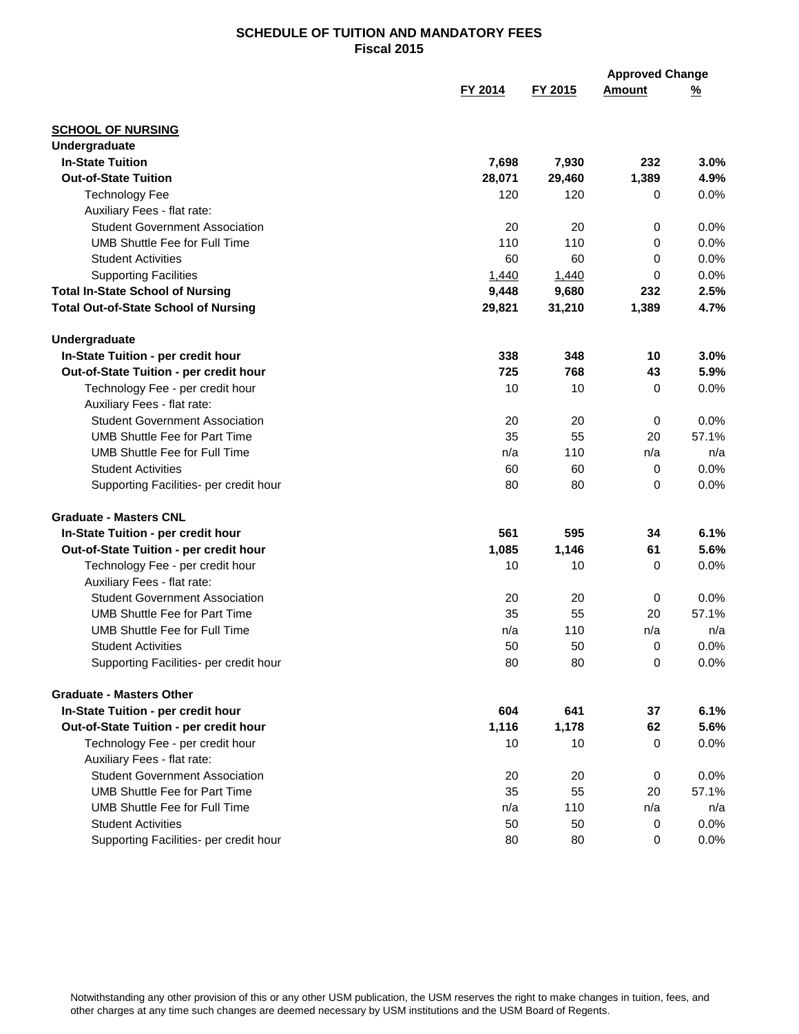|                                             |                 |         | <b>Approved Change</b> |          |
|---------------------------------------------|-----------------|---------|------------------------|----------|
|                                             | FY 2014         | FY 2015 | <b>Amount</b>          | <u>%</u> |
| <b>SCHOOL OF NURSING</b>                    |                 |         |                        |          |
| Undergraduate                               |                 |         |                        |          |
| <b>In-State Tuition</b>                     | 7,698           | 7,930   | 232                    | 3.0%     |
| <b>Out-of-State Tuition</b>                 | 28,071          | 29,460  | 1,389                  | 4.9%     |
| <b>Technology Fee</b>                       | 120             | 120     | 0                      | 0.0%     |
| Auxiliary Fees - flat rate:                 |                 |         |                        |          |
| <b>Student Government Association</b>       | 20              | 20      | 0                      | 0.0%     |
| <b>UMB Shuttle Fee for Full Time</b>        | 110             | 110     | 0                      | 0.0%     |
| <b>Student Activities</b>                   | 60              | 60      | 0                      | 0.0%     |
| <b>Supporting Facilities</b>                | 1,440           | 1,440   | $\Omega$               | 0.0%     |
| <b>Total In-State School of Nursing</b>     | 9,448           | 9,680   | 232                    | 2.5%     |
| <b>Total Out-of-State School of Nursing</b> | 29,821          | 31,210  | 1,389                  | 4.7%     |
| Undergraduate                               |                 |         |                        |          |
| In-State Tuition - per credit hour          | 338             | 348     | 10                     | 3.0%     |
| Out-of-State Tuition - per credit hour      | 725             | 768     | 43                     | 5.9%     |
| Technology Fee - per credit hour            | 10              | 10      | $\Omega$               | 0.0%     |
| Auxiliary Fees - flat rate:                 |                 |         |                        |          |
| <b>Student Government Association</b>       | 20              | 20      | 0                      | 0.0%     |
| <b>UMB Shuttle Fee for Part Time</b>        | 35              | 55      | 20                     | 57.1%    |
| <b>UMB Shuttle Fee for Full Time</b>        | n/a             | 110     | n/a                    | n/a      |
| <b>Student Activities</b>                   | 60              | 60      | 0                      | 0.0%     |
| Supporting Facilities- per credit hour      | 80              | 80      | $\Omega$               | 0.0%     |
| <b>Graduate - Masters CNL</b>               |                 |         |                        |          |
| In-State Tuition - per credit hour          | 561             | 595     | 34                     | 6.1%     |
| Out-of-State Tuition - per credit hour      | 1,085           | 1,146   | 61                     | 5.6%     |
| Technology Fee - per credit hour            | 10              | 10      | 0                      | 0.0%     |
| Auxiliary Fees - flat rate:                 |                 |         |                        |          |
| <b>Student Government Association</b>       | 20              | 20      | 0                      | 0.0%     |
| <b>UMB Shuttle Fee for Part Time</b>        | 35              | 55      | 20                     | 57.1%    |
| <b>UMB Shuttle Fee for Full Time</b>        | n/a             | 110     | n/a                    | n/a      |
| <b>Student Activities</b>                   | 50              | 50      | 0                      | 0.0%     |
| Supporting Facilities- per credit hour      | 80              | 80      | 0                      | 0.0%     |
| <b>Graduate - Masters Other</b>             |                 |         |                        |          |
| In-State Tuition - per credit hour          | 604             | 641     | 37                     | 6.1%     |
| Out-of-State Tuition - per credit hour      | 1,116           | 1,178   | 62                     | 5.6%     |
| Technology Fee - per credit hour            | 10 <sup>1</sup> | 10      | 0                      | 0.0%     |
| Auxiliary Fees - flat rate:                 |                 |         |                        |          |
| <b>Student Government Association</b>       | 20              | 20      | 0                      | 0.0%     |
| <b>UMB Shuttle Fee for Part Time</b>        | 35              | 55      | 20                     | 57.1%    |
| <b>UMB Shuttle Fee for Full Time</b>        | n/a             | 110     | n/a                    | n/a      |
| <b>Student Activities</b>                   | 50              | 50      | 0                      | 0.0%     |
| Supporting Facilities- per credit hour      | 80              | 80      | 0                      | 0.0%     |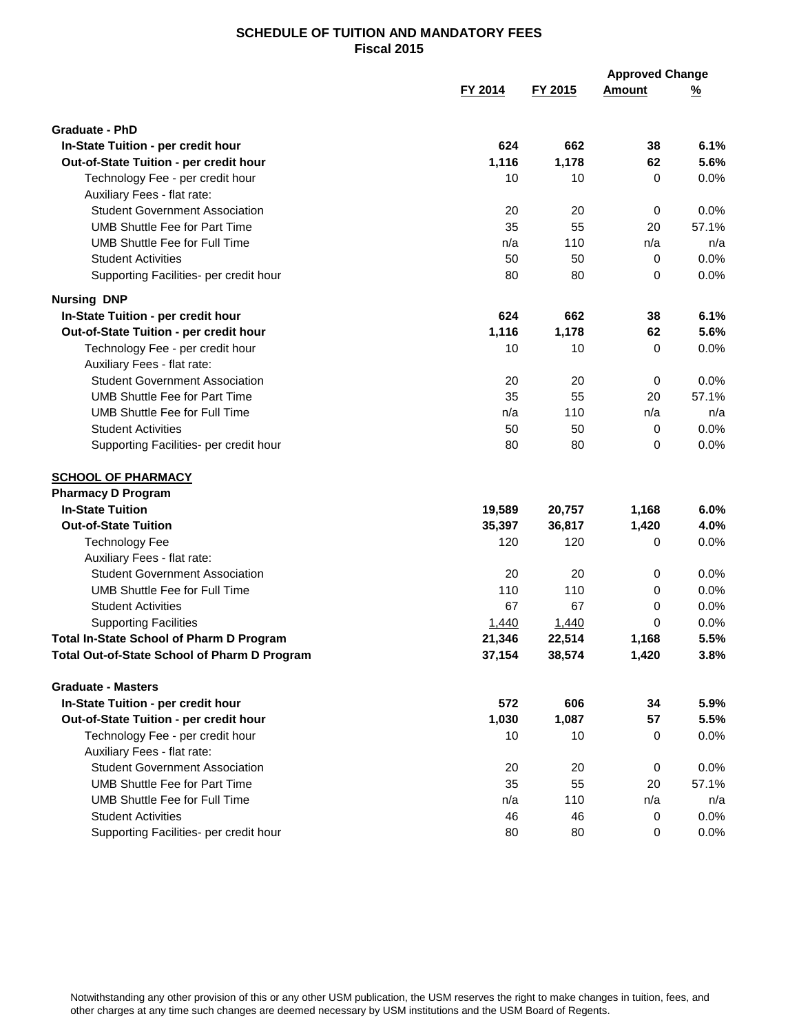|                                                 |         |         | <b>Approved Change</b> |          |
|-------------------------------------------------|---------|---------|------------------------|----------|
|                                                 | FY 2014 | FY 2015 | <b>Amount</b>          | <u>%</u> |
| <b>Graduate - PhD</b>                           |         |         |                        |          |
| In-State Tuition - per credit hour              | 624     | 662     | 38                     | 6.1%     |
| Out-of-State Tuition - per credit hour          | 1,116   | 1,178   | 62                     | 5.6%     |
| Technology Fee - per credit hour                | 10      | 10      | 0                      | 0.0%     |
| Auxiliary Fees - flat rate:                     |         |         |                        |          |
| <b>Student Government Association</b>           | 20      | 20      | 0                      | 0.0%     |
| <b>UMB Shuttle Fee for Part Time</b>            | 35      | 55      | 20                     | 57.1%    |
| <b>UMB Shuttle Fee for Full Time</b>            | n/a     | 110     | n/a                    | n/a      |
| <b>Student Activities</b>                       | 50      | 50      | 0                      | 0.0%     |
| Supporting Facilities- per credit hour          | 80      | 80      | 0                      | 0.0%     |
| <b>Nursing DNP</b>                              |         |         |                        |          |
| In-State Tuition - per credit hour              | 624     | 662     | 38                     | 6.1%     |
| Out-of-State Tuition - per credit hour          | 1,116   | 1,178   | 62                     | 5.6%     |
| Technology Fee - per credit hour                | 10      | 10      | 0                      | 0.0%     |
| Auxiliary Fees - flat rate:                     |         |         |                        |          |
| <b>Student Government Association</b>           | 20      | 20      | 0                      | 0.0%     |
| <b>UMB Shuttle Fee for Part Time</b>            | 35      | 55      | 20                     | 57.1%    |
| <b>UMB Shuttle Fee for Full Time</b>            | n/a     | 110     | n/a                    | n/a      |
| <b>Student Activities</b>                       | 50      | 50      | 0                      | 0.0%     |
| Supporting Facilities- per credit hour          | 80      | 80      | 0                      | 0.0%     |
| <b>SCHOOL OF PHARMACY</b>                       |         |         |                        |          |
| <b>Pharmacy D Program</b>                       |         |         |                        |          |
| <b>In-State Tuition</b>                         | 19,589  | 20,757  | 1,168                  | 6.0%     |
| <b>Out-of-State Tuition</b>                     | 35,397  | 36,817  | 1,420                  | 4.0%     |
| <b>Technology Fee</b>                           | 120     | 120     | 0                      | 0.0%     |
| Auxiliary Fees - flat rate:                     |         |         |                        |          |
| <b>Student Government Association</b>           | 20      | 20      | 0                      | 0.0%     |
| <b>UMB Shuttle Fee for Full Time</b>            | 110     | 110     | 0                      | 0.0%     |
| <b>Student Activities</b>                       | 67      | 67      | 0                      | 0.0%     |
| <b>Supporting Facilities</b>                    | 1,440   | 1,440   | 0                      | 0.0%     |
| <b>Total In-State School of Pharm D Program</b> | 21,346  | 22,514  | 1,168                  | 5.5%     |
| Total Out-of-State School of Pharm D Program    | 37,154  | 38,574  | 1,420                  | 3.8%     |
| <b>Graduate - Masters</b>                       |         |         |                        |          |
| In-State Tuition - per credit hour              | 572     | 606     | 34                     | 5.9%     |
| Out-of-State Tuition - per credit hour          | 1,030   | 1,087   | 57                     | 5.5%     |
| Technology Fee - per credit hour                | 10      | 10      | 0                      | 0.0%     |
| Auxiliary Fees - flat rate:                     |         |         |                        |          |
| <b>Student Government Association</b>           | 20      | 20      | 0                      | 0.0%     |
| <b>UMB Shuttle Fee for Part Time</b>            | 35      | 55      | 20                     | 57.1%    |
| UMB Shuttle Fee for Full Time                   | n/a     | 110     | n/a                    | n/a      |
| <b>Student Activities</b>                       | 46      | 46      | 0                      | 0.0%     |
| Supporting Facilities- per credit hour          | 80      | 80      | 0                      | 0.0%     |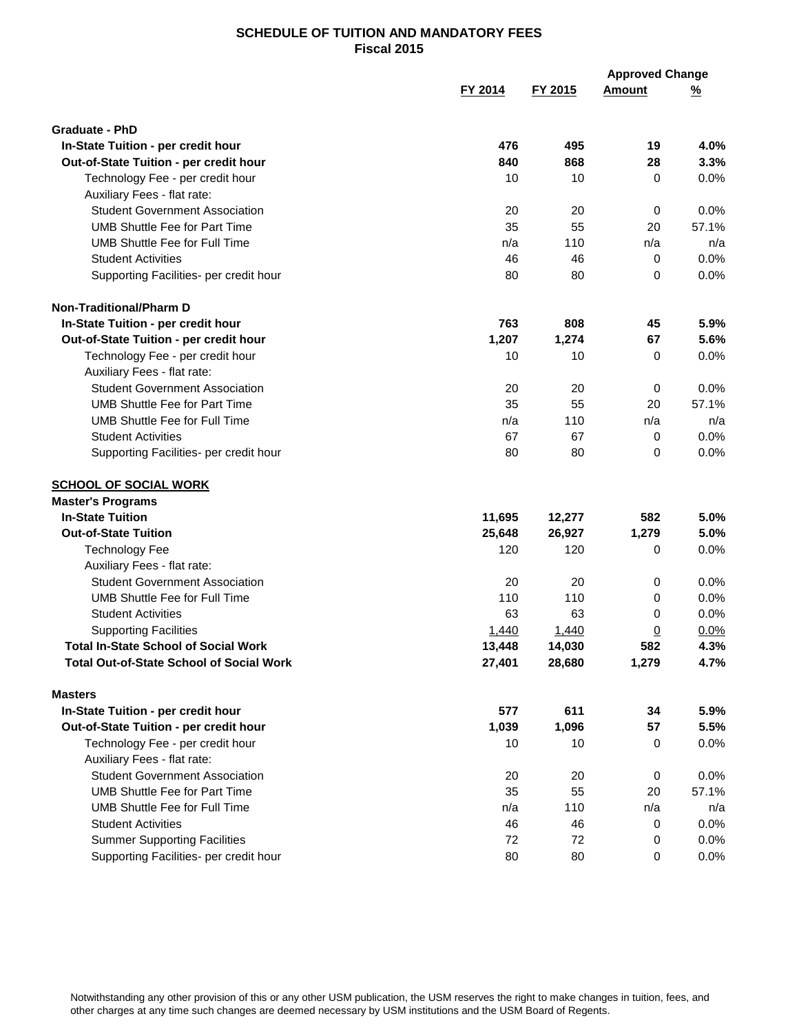|                                                                             |                  |                  | <b>Approved Change</b> |              |
|-----------------------------------------------------------------------------|------------------|------------------|------------------------|--------------|
|                                                                             | FY 2014          | FY 2015          | <b>Amount</b>          | <u>%</u>     |
| <b>Graduate - PhD</b>                                                       |                  |                  |                        |              |
| In-State Tuition - per credit hour                                          | 476              | 495              | 19                     | 4.0%         |
| Out-of-State Tuition - per credit hour                                      | 840              | 868              | 28                     | 3.3%         |
| Technology Fee - per credit hour                                            | 10               | 10               | 0                      | 0.0%         |
| Auxiliary Fees - flat rate:                                                 |                  |                  |                        |              |
| <b>Student Government Association</b>                                       | 20               | 20               | 0                      | 0.0%         |
| <b>UMB Shuttle Fee for Part Time</b>                                        | 35               | 55               | 20                     | 57.1%        |
| <b>UMB Shuttle Fee for Full Time</b>                                        | n/a              | 110              | n/a                    | n/a          |
| <b>Student Activities</b>                                                   | 46               | 46               | 0                      | 0.0%         |
| Supporting Facilities- per credit hour                                      | 80               | 80               | $\Omega$               | 0.0%         |
| <b>Non-Traditional/Pharm D</b>                                              |                  |                  |                        |              |
| In-State Tuition - per credit hour                                          | 763              | 808              | 45                     | 5.9%         |
| Out-of-State Tuition - per credit hour                                      | 1,207            | 1,274            | 67                     | 5.6%         |
| Technology Fee - per credit hour                                            | 10               | 10               | 0                      | 0.0%         |
| Auxiliary Fees - flat rate:                                                 |                  |                  |                        |              |
| <b>Student Government Association</b>                                       | 20               | 20               | 0                      | 0.0%         |
| <b>UMB Shuttle Fee for Part Time</b>                                        | 35               | 55               | 20                     | 57.1%        |
| <b>UMB Shuttle Fee for Full Time</b>                                        | n/a              | 110              | n/a                    | n/a          |
| <b>Student Activities</b>                                                   | 67               | 67               | 0                      | 0.0%         |
| Supporting Facilities- per credit hour                                      | 80               | 80               | 0                      | 0.0%         |
| <b>SCHOOL OF SOCIAL WORK</b>                                                |                  |                  |                        |              |
| <b>Master's Programs</b>                                                    |                  |                  |                        |              |
| <b>In-State Tuition</b>                                                     | 11,695           | 12,277           | 582                    | 5.0%         |
| <b>Out-of-State Tuition</b>                                                 | 25,648           | 26,927           | 1,279                  | 5.0%         |
| <b>Technology Fee</b>                                                       | 120              | 120              | 0                      | 0.0%         |
| Auxiliary Fees - flat rate:                                                 |                  |                  |                        |              |
| <b>Student Government Association</b>                                       | 20               | 20               | 0                      | 0.0%         |
| <b>UMB Shuttle Fee for Full Time</b>                                        | 110              | 110              | 0                      | 0.0%         |
| Student Activities                                                          | 63               | 63               | 0                      | 0.0%         |
| <b>Supporting Facilities</b><br><b>Total In-State School of Social Work</b> | 1,440            | 1,440            | $\overline{0}$         | 0.0%         |
| <b>Total Out-of-State School of Social Work</b>                             | 13,448<br>27,401 | 14,030<br>28,680 | 582<br>1,279           | 4.3%<br>4.7% |
|                                                                             |                  |                  |                        |              |
| <b>Masters</b>                                                              |                  |                  |                        |              |
| In-State Tuition - per credit hour                                          | 577              | 611              | 34                     | 5.9%         |
| Out-of-State Tuition - per credit hour                                      | 1,039            | 1,096            | 57                     | 5.5%         |
| Technology Fee - per credit hour                                            | 10               | 10               | 0                      | 0.0%         |
| Auxiliary Fees - flat rate:                                                 |                  |                  |                        |              |
| <b>Student Government Association</b>                                       | 20               | 20               | 0                      | 0.0%         |
| <b>UMB Shuttle Fee for Part Time</b>                                        | 35               | 55               | 20                     | 57.1%        |
| UMB Shuttle Fee for Full Time                                               | n/a              | 110              | n/a                    | n/a          |
| <b>Student Activities</b>                                                   | 46               | 46               | 0                      | 0.0%         |
| <b>Summer Supporting Facilities</b>                                         | 72               | 72               | 0                      | 0.0%         |
| Supporting Facilities- per credit hour                                      | 80               | 80               | 0                      | 0.0%         |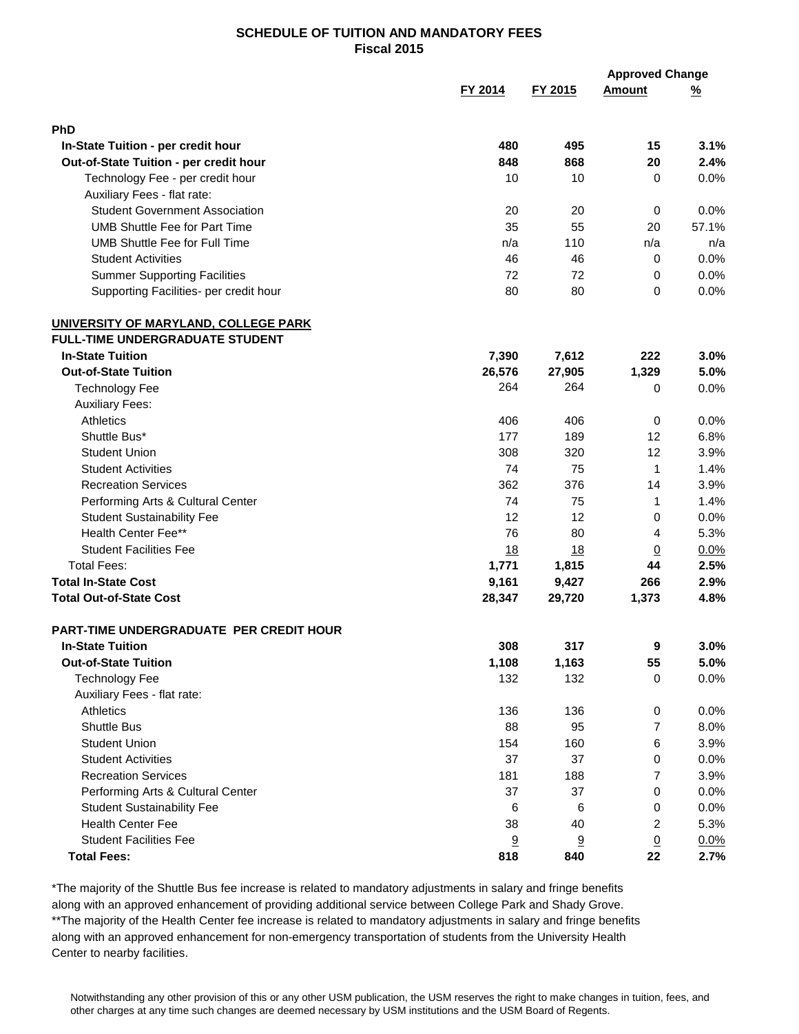|                                                                      |            |         | <b>Approved Change</b> |          |
|----------------------------------------------------------------------|------------|---------|------------------------|----------|
|                                                                      | FY 2014    | FY 2015 | <b>Amount</b>          | <u>%</u> |
| PhD                                                                  |            |         |                        |          |
|                                                                      |            | 495     |                        |          |
| In-State Tuition - per credit hour                                   | 480<br>848 | 868     | 15                     | 3.1%     |
| Out-of-State Tuition - per credit hour                               | 10         |         | 20                     | 2.4%     |
| Technology Fee - per credit hour                                     |            | 10      | 0                      | 0.0%     |
| Auxiliary Fees - flat rate:<br><b>Student Government Association</b> |            |         |                        | 0.0%     |
| <b>UMB Shuttle Fee for Part Time</b>                                 | 20         | 20      | 0                      |          |
| <b>UMB Shuttle Fee for Full Time</b>                                 | 35         | 55      | 20                     | 57.1%    |
|                                                                      | n/a        | 110     | n/a                    | n/a      |
| <b>Student Activities</b>                                            | 46         | 46      | 0                      | 0.0%     |
| <b>Summer Supporting Facilities</b>                                  | 72         | 72      | 0                      | 0.0%     |
| Supporting Facilities- per credit hour                               | 80         | 80      | 0                      | 0.0%     |
| UNIVERSITY OF MARYLAND, COLLEGE PARK                                 |            |         |                        |          |
| <b>FULL-TIME UNDERGRADUATE STUDENT</b>                               |            |         |                        |          |
| <b>In-State Tuition</b>                                              | 7,390      | 7,612   | 222                    | 3.0%     |
| <b>Out-of-State Tuition</b>                                          | 26,576     | 27,905  | 1,329                  | 5.0%     |
| <b>Technology Fee</b>                                                | 264        | 264     | 0                      | 0.0%     |
| <b>Auxiliary Fees:</b>                                               |            |         |                        |          |
| Athletics                                                            | 406        | 406     | 0                      | 0.0%     |
| Shuttle Bus*                                                         | 177        | 189     | 12                     | 6.8%     |
| <b>Student Union</b>                                                 | 308        | 320     | 12                     | 3.9%     |
| <b>Student Activities</b>                                            | 74         | 75      | $\mathbf{1}$           | 1.4%     |
| <b>Recreation Services</b>                                           | 362        | 376     | 14                     | 3.9%     |
| Performing Arts & Cultural Center                                    | 74         | 75      | $\mathbf{1}$           | 1.4%     |
| <b>Student Sustainability Fee</b>                                    | 12         | 12      | 0                      | 0.0%     |
| Health Center Fee**                                                  | 76         | 80      | 4                      | 5.3%     |
| <b>Student Facilities Fee</b>                                        | 18         | 18      | $\overline{0}$         | 0.0%     |
| <b>Total Fees:</b>                                                   | 1,771      | 1,815   | 44                     | 2.5%     |
| <b>Total In-State Cost</b>                                           | 9,161      | 9,427   | 266                    | 2.9%     |
| <b>Total Out-of-State Cost</b>                                       | 28,347     | 29,720  | 1,373                  | 4.8%     |
| <b>PART-TIME UNDERGRADUATE PER CREDIT HOUR</b>                       |            |         |                        |          |
| <b>In-State Tuition</b>                                              | 308        | 317     | 9                      | 3.0%     |
| <b>Out-of-State Tuition</b>                                          | 1,108      | 1,163   | 55                     | 5.0%     |
| <b>Technology Fee</b>                                                | 132        | 132     | 0                      | 0.0%     |
| Auxiliary Fees - flat rate:                                          |            |         |                        |          |
| Athletics                                                            | 136        | 136     | 0                      | 0.0%     |
| <b>Shuttle Bus</b>                                                   | 88         | 95      | 7                      | 8.0%     |
| <b>Student Union</b>                                                 | 154        | 160     | 6                      | 3.9%     |
| <b>Student Activities</b>                                            | 37         | 37      | 0                      | 0.0%     |
| <b>Recreation Services</b>                                           | 181        | 188     | 7                      | 3.9%     |
| Performing Arts & Cultural Center                                    | 37         | 37      | 0                      | 0.0%     |
| <b>Student Sustainability Fee</b>                                    | 6          | 6       | 0                      | 0.0%     |
| <b>Health Center Fee</b>                                             | 38         | 40      | 2                      | 5.3%     |
| <b>Student Facilities Fee</b>                                        | 9          | 9       | $\overline{0}$         | 0.0%     |
| <b>Total Fees:</b>                                                   | 818        | 840     | 22                     | 2.7%     |
|                                                                      |            |         |                        |          |

\*The majority of the Shuttle Bus fee increase is related to mandatory adjustments in salary and fringe benefits along with an approved enhancement of providing additional service between College Park and Shady Grove. \*\*The majority of the Health Center fee increase is related to mandatory adjustments in salary and fringe benefits along with an approved enhancement for non-emergency transportation of students from the University Health Center to nearby facilities.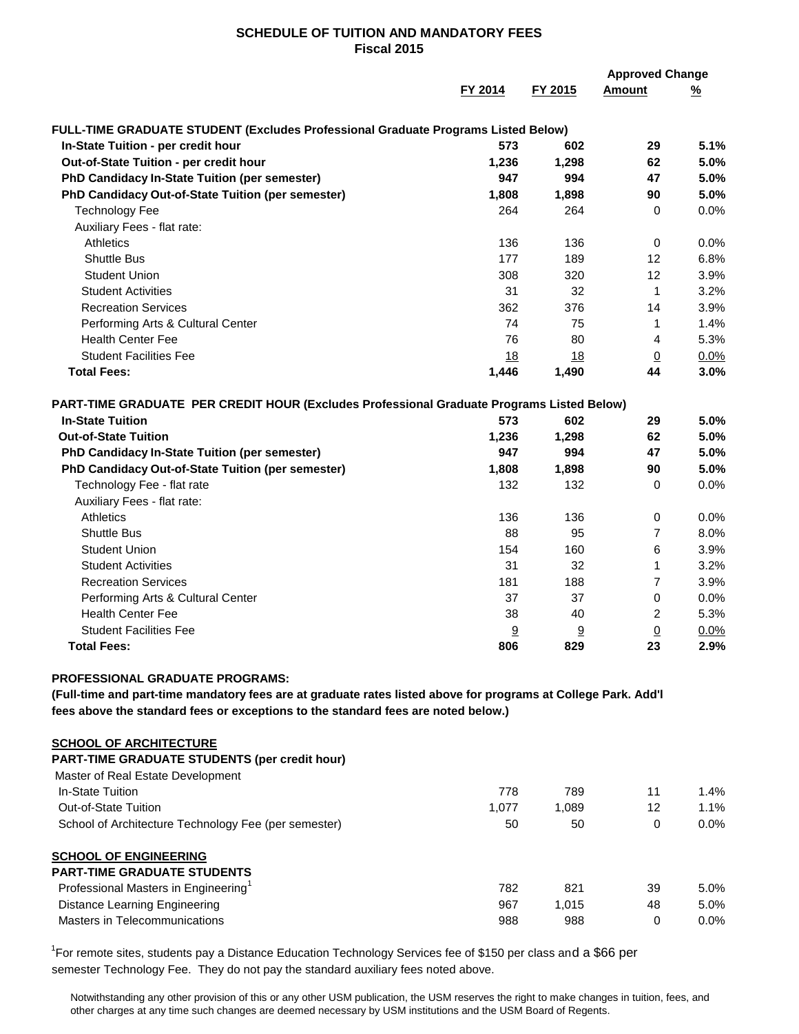|                                                                                                                                                                                                     |         |         | <b>Approved Change</b> |          |  |
|-----------------------------------------------------------------------------------------------------------------------------------------------------------------------------------------------------|---------|---------|------------------------|----------|--|
|                                                                                                                                                                                                     | FY 2014 | FY 2015 | <b>Amount</b>          | <u>%</u> |  |
| FULL-TIME GRADUATE STUDENT (Excludes Professional Graduate Programs Listed Below)                                                                                                                   |         |         |                        |          |  |
| In-State Tuition - per credit hour                                                                                                                                                                  | 573     | 602     | 29                     | 5.1%     |  |
| Out-of-State Tuition - per credit hour                                                                                                                                                              | 1,236   | 1,298   | 62                     | 5.0%     |  |
| PhD Candidacy In-State Tuition (per semester)                                                                                                                                                       | 947     | 994     | 47                     | 5.0%     |  |
| PhD Candidacy Out-of-State Tuition (per semester)                                                                                                                                                   | 1,808   | 1,898   | 90                     | 5.0%     |  |
| <b>Technology Fee</b>                                                                                                                                                                               | 264     | 264     | $\mathbf 0$            | 0.0%     |  |
| Auxiliary Fees - flat rate:                                                                                                                                                                         |         |         |                        |          |  |
| <b>Athletics</b>                                                                                                                                                                                    | 136     | 136     | 0                      | 0.0%     |  |
| <b>Shuttle Bus</b>                                                                                                                                                                                  | 177     | 189     | 12                     | 6.8%     |  |
| <b>Student Union</b>                                                                                                                                                                                | 308     | 320     | 12                     | 3.9%     |  |
| <b>Student Activities</b>                                                                                                                                                                           | 31      | 32      | $\mathbf 1$            | 3.2%     |  |
| <b>Recreation Services</b>                                                                                                                                                                          | 362     | 376     | 14                     | 3.9%     |  |
| Performing Arts & Cultural Center                                                                                                                                                                   | 74      | 75      | 1                      | 1.4%     |  |
| <b>Health Center Fee</b>                                                                                                                                                                            | 76      | 80      | 4                      | 5.3%     |  |
| <b>Student Facilities Fee</b>                                                                                                                                                                       | 18      | 18      | $\overline{0}$         | 0.0%     |  |
| <b>Total Fees:</b>                                                                                                                                                                                  | 1,446   | 1,490   | 44                     | 3.0%     |  |
| PART-TIME GRADUATE PER CREDIT HOUR (Excludes Professional Graduate Programs Listed Below)                                                                                                           |         |         |                        |          |  |
| <b>In-State Tuition</b>                                                                                                                                                                             | 573     | 602     | 29                     | 5.0%     |  |
| <b>Out-of-State Tuition</b>                                                                                                                                                                         | 1,236   | 1,298   | 62                     | 5.0%     |  |
| PhD Candidacy In-State Tuition (per semester)                                                                                                                                                       | 947     | 994     | 47                     | 5.0%     |  |
| PhD Candidacy Out-of-State Tuition (per semester)                                                                                                                                                   | 1,808   | 1,898   | 90                     | 5.0%     |  |
| Technology Fee - flat rate                                                                                                                                                                          | 132     | 132     | $\mathbf 0$            | 0.0%     |  |
| Auxiliary Fees - flat rate:                                                                                                                                                                         |         |         |                        |          |  |
| Athletics                                                                                                                                                                                           | 136     | 136     | 0                      | 0.0%     |  |
| <b>Shuttle Bus</b>                                                                                                                                                                                  | 88      | 95      | 7                      | 8.0%     |  |
| <b>Student Union</b>                                                                                                                                                                                | 154     | 160     | 6                      | 3.9%     |  |
| <b>Student Activities</b>                                                                                                                                                                           | 31      | 32      | 1                      | 3.2%     |  |
| <b>Recreation Services</b>                                                                                                                                                                          | 181     | 188     | 7                      | 3.9%     |  |
| Performing Arts & Cultural Center                                                                                                                                                                   | 37      | 37      | $\mathbf 0$            | 0.0%     |  |
| <b>Health Center Fee</b>                                                                                                                                                                            | 38      | 40      | 2                      | 5.3%     |  |
| <b>Student Facilities Fee</b>                                                                                                                                                                       | 9       | 9       | $\underline{0}$        | 0.0%     |  |
| <b>Total Fees:</b>                                                                                                                                                                                  | 806     | 829     | 23                     | 2.9%     |  |
| PROFESSIONAL GRADUATE PROGRAMS:                                                                                                                                                                     |         |         |                        |          |  |
| (Full-time and part-time mandatory fees are at graduate rates listed above for programs at College Park. Add'l<br>fees above the standard fees or exceptions to the standard fees are noted below.) |         |         |                        |          |  |
|                                                                                                                                                                                                     |         |         |                        |          |  |
| <b>SCHOOL OF ARCHITECTURE</b>                                                                                                                                                                       |         |         |                        |          |  |
| PART-TIME GRADUATE STUDENTS (per credit hour)                                                                                                                                                       |         |         |                        |          |  |
| Master of Real Estate Development                                                                                                                                                                   |         |         |                        |          |  |
| In-State Tuition                                                                                                                                                                                    | 778     | 789     | 11                     | 1.4%     |  |
| Out-of-State Tuition                                                                                                                                                                                | 1,077   | 1,089   | 12                     | 1.1%     |  |

**SCHOOL OF ENGINEERING PART-TIME GRADUATE STUDENTS** Professional Masters in Engineering<sup>1</sup> 782 821 39 5.0% Distance Learning Engineering **1,015** 1,015 48 5.0% Masters in Telecommunications and the control of the control of the control of the control of the control of the control of the control of the control of the control of the control of the control of the control of the cont

School of Architecture Technology Fee (per semester) 50 50 50 0 0.0%

<sup>1</sup>For remote sites, students pay a Distance Education Technology Services fee of \$150 per class and a \$66 per semester Technology Fee. They do not pay the standard auxiliary fees noted above.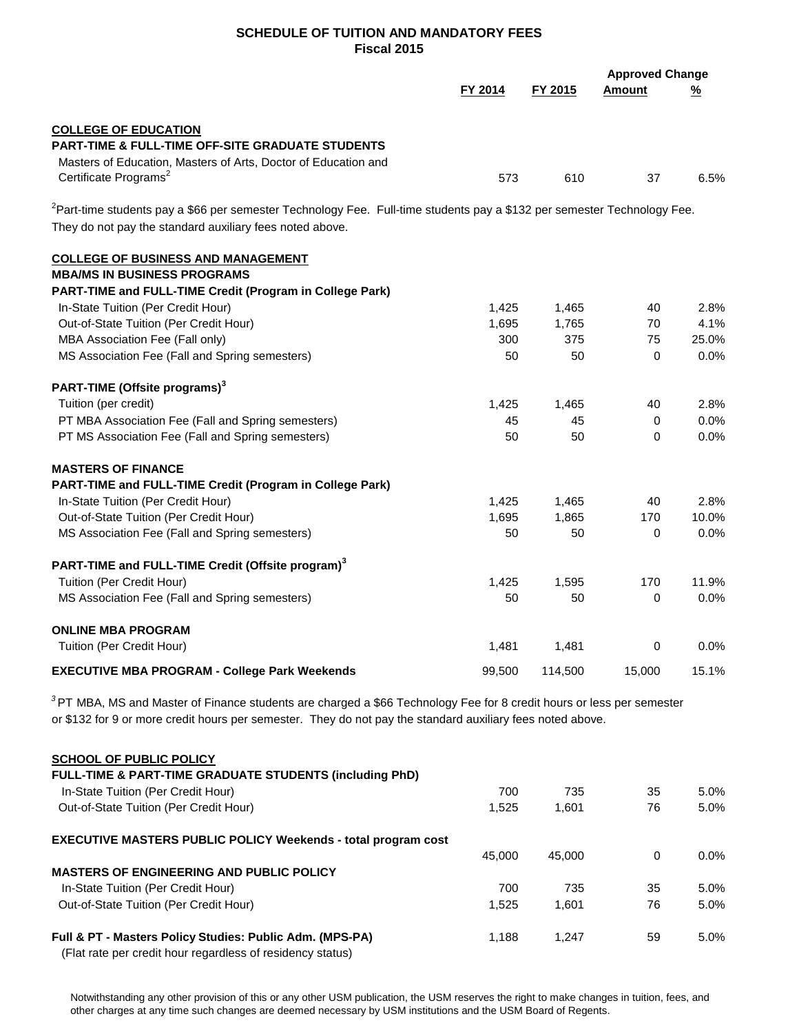|                                                                                                                                     |         |         |               | <b>Approved Change</b> |  |
|-------------------------------------------------------------------------------------------------------------------------------------|---------|---------|---------------|------------------------|--|
|                                                                                                                                     | FY 2014 | FY 2015 | <b>Amount</b> | <u>%</u>               |  |
| <b>COLLEGE OF EDUCATION</b>                                                                                                         |         |         |               |                        |  |
| PART-TIME & FULL-TIME OFF-SITE GRADUATE STUDENTS                                                                                    |         |         |               |                        |  |
| Masters of Education, Masters of Arts, Doctor of Education and                                                                      |         |         |               |                        |  |
| Certificate Programs <sup>2</sup>                                                                                                   | 573     | 610     | 37            | 6.5%                   |  |
| <sup>2</sup> Part-time students pay a \$66 per semester Technology Fee. Full-time students pay a \$132 per semester Technology Fee. |         |         |               |                        |  |
| They do not pay the standard auxiliary fees noted above.                                                                            |         |         |               |                        |  |
| <b>COLLEGE OF BUSINESS AND MANAGEMENT</b>                                                                                           |         |         |               |                        |  |
| <b>MBA/MS IN BUSINESS PROGRAMS</b>                                                                                                  |         |         |               |                        |  |
| PART-TIME and FULL-TIME Credit (Program in College Park)                                                                            |         |         |               |                        |  |
| In-State Tuition (Per Credit Hour)                                                                                                  | 1,425   | 1,465   | 40            | 2.8%                   |  |
| Out-of-State Tuition (Per Credit Hour)                                                                                              | 1,695   | 1,765   | 70            | 4.1%                   |  |
| MBA Association Fee (Fall only)                                                                                                     | 300     | 375     | 75            | 25.0%                  |  |
| MS Association Fee (Fall and Spring semesters)                                                                                      | 50      | 50      | 0             | 0.0%                   |  |
| PART-TIME (Offsite programs) <sup>3</sup>                                                                                           |         |         |               |                        |  |
| Tuition (per credit)                                                                                                                | 1,425   | 1,465   | 40            | 2.8%                   |  |
| PT MBA Association Fee (Fall and Spring semesters)                                                                                  | 45      | 45      | 0             | 0.0%                   |  |
| PT MS Association Fee (Fall and Spring semesters)                                                                                   | 50      | 50      | 0             | 0.0%                   |  |
| <b>MASTERS OF FINANCE</b>                                                                                                           |         |         |               |                        |  |
| PART-TIME and FULL-TIME Credit (Program in College Park)                                                                            |         |         |               |                        |  |
| In-State Tuition (Per Credit Hour)                                                                                                  | 1,425   | 1,465   | 40            | 2.8%                   |  |
| Out-of-State Tuition (Per Credit Hour)                                                                                              | 1,695   | 1,865   | 170           | 10.0%                  |  |
| MS Association Fee (Fall and Spring semesters)                                                                                      | 50      | 50      | 0             | 0.0%                   |  |
| PART-TIME and FULL-TIME Credit (Offsite program) <sup>3</sup>                                                                       |         |         |               |                        |  |
| Tuition (Per Credit Hour)                                                                                                           | 1,425   | 1,595   | 170           | 11.9%                  |  |
| MS Association Fee (Fall and Spring semesters)                                                                                      | 50      | 50      | 0             | 0.0%                   |  |
| <b>ONLINE MBA PROGRAM</b>                                                                                                           |         |         |               |                        |  |
| Tuition (Per Credit Hour)                                                                                                           | 1,481   | 1,481   | $\Omega$      | 0.0%                   |  |
| <b>EXECUTIVE MBA PROGRAM - College Park Weekends</b>                                                                                | 99,500  | 114,500 | 15,000        | 15.1%                  |  |
| $3$ PT MBA, MS and Master of Finance students are charged a \$66 Technology Fee for 8 credit hours or less per semester             |         |         |               |                        |  |
| or \$132 for 9 or more credit hours per semester. They do not pay the standard auxiliary fees noted above.                          |         |         |               |                        |  |
| <b>SCHOOL OF PUBLIC POLICY</b>                                                                                                      |         |         |               |                        |  |
| FULL-TIME & PART-TIME GRADUATE STUDENTS (including PhD)                                                                             |         |         |               |                        |  |
| In-State Tuition (Per Credit Hour)                                                                                                  | 700     | 735     | 35            | 5.0%                   |  |

| Out-of-State Tuition (Per Credit Hour)                               | 1.525  | 1.601  | 76 | $5.0\%$ |
|----------------------------------------------------------------------|--------|--------|----|---------|
| <b>EXECUTIVE MASTERS PUBLIC POLICY Weekends - total program cost</b> |        |        |    |         |
|                                                                      | 45,000 | 45.000 | 0  | $0.0\%$ |
| <b>MASTERS OF ENGINEERING AND PUBLIC POLICY</b>                      |        |        |    |         |
| In-State Tuition (Per Credit Hour)                                   | 700    | 735    | 35 | $5.0\%$ |
| Out-of-State Tuition (Per Credit Hour)                               | 1.525  | 1.601  | 76 | $5.0\%$ |
| Full & PT - Masters Policy Studies: Public Adm. (MPS-PA)             | 1.188  | 1.247  | 59 | $5.0\%$ |

(Flat rate per credit hour regardless of residency status)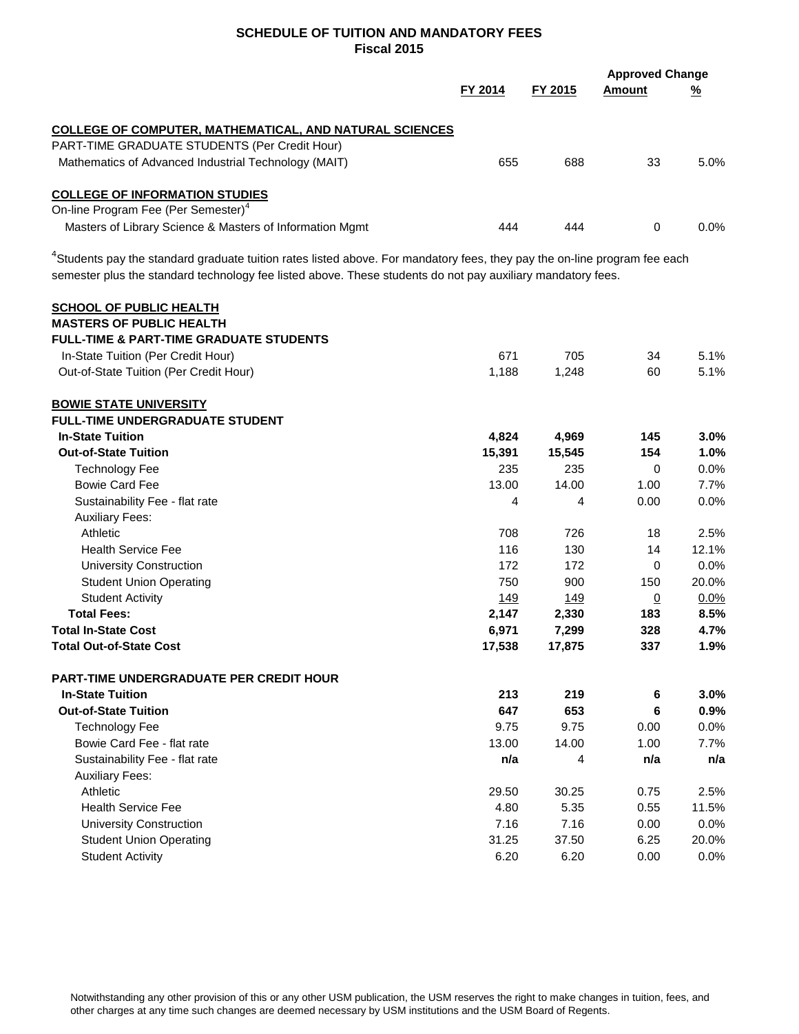|                                                                                                                                       | FY 2015<br>FY 2014 |             | <b>Approved Change</b><br>Amount |          |  |
|---------------------------------------------------------------------------------------------------------------------------------------|--------------------|-------------|----------------------------------|----------|--|
|                                                                                                                                       |                    |             |                                  | <u>%</u> |  |
| <b>COLLEGE OF COMPUTER, MATHEMATICAL, AND NATURAL SCIENCES</b>                                                                        |                    |             |                                  |          |  |
| PART-TIME GRADUATE STUDENTS (Per Credit Hour)                                                                                         |                    |             |                                  |          |  |
| Mathematics of Advanced Industrial Technology (MAIT)                                                                                  | 655                | 688         | 33                               | 5.0%     |  |
| <b>COLLEGE OF INFORMATION STUDIES</b>                                                                                                 |                    |             |                                  |          |  |
| On-line Program Fee (Per Semester) <sup>4</sup>                                                                                       |                    |             |                                  |          |  |
| Masters of Library Science & Masters of Information Mgmt                                                                              | 444                | 444         | 0                                | $0.0\%$  |  |
| <sup>4</sup> Students pay the standard graduate tuition rates listed above. For mandatory fees, they pay the on-line program fee each |                    |             |                                  |          |  |
| semester plus the standard technology fee listed above. These students do not pay auxiliary mandatory fees.                           |                    |             |                                  |          |  |
| <b>SCHOOL OF PUBLIC HEALTH</b>                                                                                                        |                    |             |                                  |          |  |
| <b>MASTERS OF PUBLIC HEALTH</b>                                                                                                       |                    |             |                                  |          |  |
| <b>FULL-TIME &amp; PART-TIME GRADUATE STUDENTS</b>                                                                                    |                    |             |                                  |          |  |
| In-State Tuition (Per Credit Hour)                                                                                                    | 671                | 705         | 34                               | 5.1%     |  |
| Out-of-State Tuition (Per Credit Hour)                                                                                                | 1,188              | 1,248       | 60                               | 5.1%     |  |
| <b>BOWIE STATE UNIVERSITY</b>                                                                                                         |                    |             |                                  |          |  |
| <b>FULL-TIME UNDERGRADUATE STUDENT</b>                                                                                                |                    |             |                                  |          |  |
| <b>In-State Tuition</b>                                                                                                               | 4,824              | 4,969       | 145                              | 3.0%     |  |
| <b>Out-of-State Tuition</b>                                                                                                           | 15,391             | 15,545      | 154                              | 1.0%     |  |
| <b>Technology Fee</b>                                                                                                                 | 235                | 235         | 0                                | 0.0%     |  |
| <b>Bowie Card Fee</b>                                                                                                                 | 13.00              | 14.00       | 1.00                             | 7.7%     |  |
| Sustainability Fee - flat rate                                                                                                        | 4                  | 4           | 0.00                             | 0.0%     |  |
| <b>Auxiliary Fees:</b>                                                                                                                |                    |             |                                  |          |  |
| Athletic                                                                                                                              | 708                | 726         | 18                               | 2.5%     |  |
| <b>Health Service Fee</b>                                                                                                             | 116                | 130         | 14                               | 12.1%    |  |
| <b>University Construction</b>                                                                                                        | 172                | 172         | 0                                | 0.0%     |  |
| <b>Student Union Operating</b>                                                                                                        | 750                | 900         | 150                              | 20.0%    |  |
| <b>Student Activity</b>                                                                                                               | 149                | <u> 149</u> | $\underline{0}$                  | 0.0%     |  |
| <b>Total Fees:</b>                                                                                                                    | 2,147              | 2,330       | 183                              | 8.5%     |  |
| <b>Total In-State Cost</b>                                                                                                            | 6,971              | 7,299       | 328                              | 4.7%     |  |
| <b>Total Out-of-State Cost</b>                                                                                                        | 17,538             | 17,875      | 337                              | 1.9%     |  |
| <b>PART-TIME UNDERGRADUATE PER CREDIT HOUR</b>                                                                                        |                    |             |                                  |          |  |
| <b>In-State Tuition</b>                                                                                                               | 213                | 219         | 6                                | 3.0%     |  |
| <b>Out-of-State Tuition</b>                                                                                                           | 647                | 653         | 6                                | 0.9%     |  |
| <b>Technology Fee</b>                                                                                                                 | 9.75               | 9.75        | 0.00                             | 0.0%     |  |
| Bowie Card Fee - flat rate                                                                                                            | 13.00              | 14.00       | 1.00                             | 7.7%     |  |
| Sustainability Fee - flat rate                                                                                                        | n/a                | 4           | n/a                              | n/a      |  |
| <b>Auxiliary Fees:</b>                                                                                                                |                    |             |                                  |          |  |
| Athletic                                                                                                                              | 29.50              | 30.25       | 0.75                             | 2.5%     |  |
| <b>Health Service Fee</b>                                                                                                             | 4.80               | 5.35        | 0.55                             | 11.5%    |  |
| <b>University Construction</b>                                                                                                        | 7.16               | 7.16        | 0.00                             | 0.0%     |  |
| <b>Student Union Operating</b>                                                                                                        | 31.25              | 37.50       | 6.25                             | 20.0%    |  |
| <b>Student Activity</b>                                                                                                               | 6.20               | 6.20        | 0.00                             | 0.0%     |  |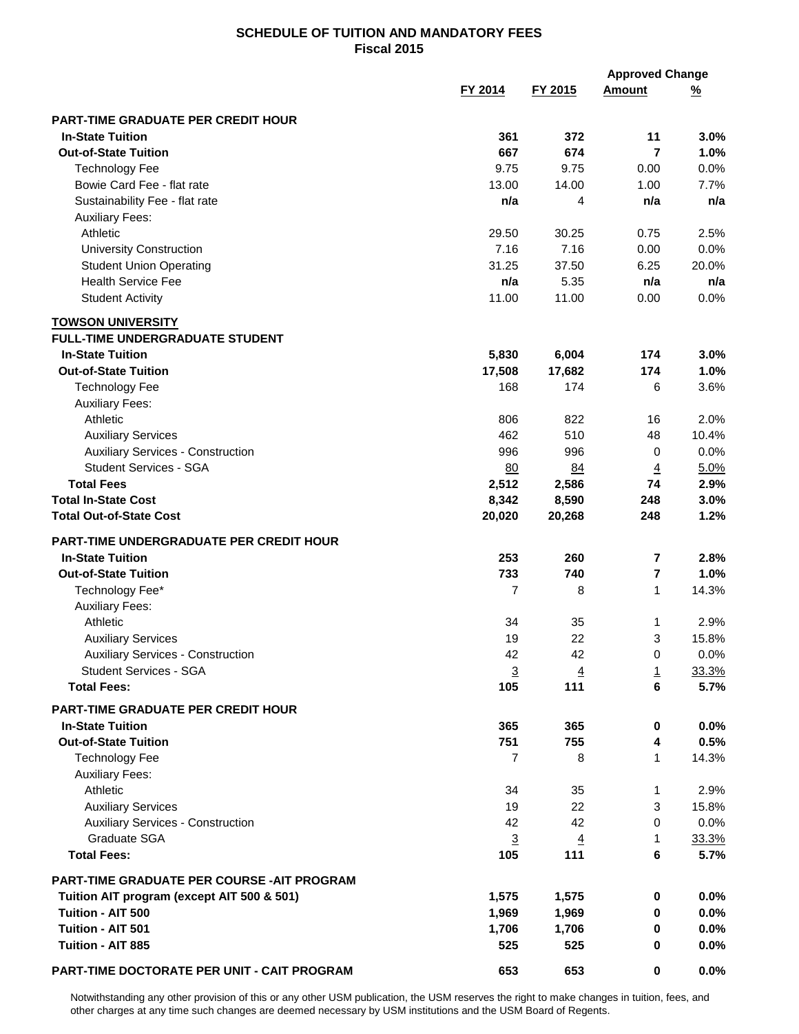|                                                |                |                       |                         | <b>Approved Change</b> |  |
|------------------------------------------------|----------------|-----------------------|-------------------------|------------------------|--|
|                                                | FY 2014        | FY 2015               | <b>Amount</b>           | <u>%</u>               |  |
|                                                |                |                       |                         |                        |  |
| <b>PART-TIME GRADUATE PER CREDIT HOUR</b>      |                |                       |                         |                        |  |
| <b>In-State Tuition</b>                        | 361            | 372                   | 11                      | 3.0%                   |  |
| <b>Out-of-State Tuition</b>                    | 667            | 674                   | 7                       | 1.0%                   |  |
| <b>Technology Fee</b>                          | 9.75           | 9.75                  | 0.00                    | 0.0%                   |  |
| Bowie Card Fee - flat rate                     | 13.00          | 14.00                 | 1.00                    | 7.7%                   |  |
| Sustainability Fee - flat rate                 | n/a            | 4                     | n/a                     | n/a                    |  |
| <b>Auxiliary Fees:</b>                         |                |                       |                         |                        |  |
| Athletic                                       | 29.50          | 30.25                 | 0.75                    | 2.5%                   |  |
| <b>University Construction</b>                 | 7.16           | 7.16                  | 0.00                    | 0.0%                   |  |
| <b>Student Union Operating</b>                 | 31.25          | 37.50                 | 6.25                    | 20.0%                  |  |
| <b>Health Service Fee</b>                      | n/a            | 5.35                  | n/a                     | n/a                    |  |
| <b>Student Activity</b>                        | 11.00          | 11.00                 | 0.00                    | 0.0%                   |  |
| <b>TOWSON UNIVERSITY</b>                       |                |                       |                         |                        |  |
| <b>FULL-TIME UNDERGRADUATE STUDENT</b>         |                |                       |                         |                        |  |
| <b>In-State Tuition</b>                        | 5,830          | 6,004                 | 174                     | 3.0%                   |  |
| <b>Out-of-State Tuition</b>                    | 17,508         | 17,682                | 174                     | 1.0%                   |  |
| <b>Technology Fee</b>                          | 168            | 174                   | 6                       | 3.6%                   |  |
| <b>Auxiliary Fees:</b>                         |                |                       |                         |                        |  |
| Athletic                                       | 806            | 822                   | 16                      | 2.0%                   |  |
| <b>Auxiliary Services</b>                      | 462            | 510                   | 48                      | 10.4%                  |  |
| <b>Auxiliary Services - Construction</b>       | 996            | 996                   | 0                       | 0.0%                   |  |
| <b>Student Services - SGA</b>                  | 80             | 84                    | $\overline{4}$          | 5.0%                   |  |
| <b>Total Fees</b>                              | 2,512          | 2,586                 | 74                      | 2.9%                   |  |
| <b>Total In-State Cost</b>                     | 8,342          | 8,590                 | 248                     | 3.0%                   |  |
| <b>Total Out-of-State Cost</b>                 | 20,020         | 20,268                | 248                     | 1.2%                   |  |
|                                                |                |                       |                         |                        |  |
| <b>PART-TIME UNDERGRADUATE PER CREDIT HOUR</b> |                |                       |                         |                        |  |
| <b>In-State Tuition</b>                        | 253            | 260                   | $\overline{\mathbf{r}}$ | 2.8%                   |  |
| <b>Out-of-State Tuition</b>                    | 733            | 740                   | 7                       | 1.0%                   |  |
| Technology Fee*                                | 7              | 8                     | $\mathbf{1}$            | 14.3%                  |  |
| <b>Auxiliary Fees:</b>                         |                |                       |                         |                        |  |
| Athletic                                       | 34             | 35                    | 1                       | 2.9%                   |  |
| <b>Auxiliary Services</b>                      | 19             | 22                    | 3                       | 15.8%                  |  |
| <b>Auxiliary Services - Construction</b>       | 42             | 42                    | 0                       | $0.0\%$                |  |
| <b>Student Services - SGA</b>                  | $\overline{3}$ | $\overline{4}$        | $\overline{1}$          | 33.3%                  |  |
| <b>Total Fees:</b>                             | 105            | 111                   | 6                       | 5.7%                   |  |
| <b>PART-TIME GRADUATE PER CREDIT HOUR</b>      |                |                       |                         |                        |  |
| <b>In-State Tuition</b>                        | 365            | 365                   | 0                       | $0.0\%$                |  |
| <b>Out-of-State Tuition</b>                    | 751            | 755                   | 4                       | 0.5%                   |  |
| <b>Technology Fee</b>                          | $\overline{7}$ | 8                     | 1                       | 14.3%                  |  |
| <b>Auxiliary Fees:</b>                         |                |                       |                         |                        |  |
| Athletic                                       | 34             | 35                    | 1                       | 2.9%                   |  |
| <b>Auxiliary Services</b>                      | 19             | 22                    | 3                       | 15.8%                  |  |
| <b>Auxiliary Services - Construction</b>       | 42             | 42                    | 0                       | 0.0%                   |  |
| Graduate SGA                                   | $\overline{3}$ |                       | 1                       |                        |  |
| <b>Total Fees:</b>                             | 105            | $\overline{4}$<br>111 | 6                       | 33.3%<br>5.7%          |  |
|                                                |                |                       |                         |                        |  |
| PART-TIME GRADUATE PER COURSE - AIT PROGRAM    |                |                       |                         |                        |  |
| Tuition AIT program (except AIT 500 & 501)     | 1,575          | 1,575                 | 0                       | $0.0\%$                |  |
| Tuition - AIT 500                              | 1,969          | 1,969                 | 0                       | $0.0\%$                |  |
| Tuition - AIT 501                              | 1,706          | 1,706                 | 0                       | $0.0\%$                |  |
| Tuition - AIT 885                              | 525            | 525                   | 0                       | $0.0\%$                |  |
|                                                |                |                       |                         |                        |  |
| PART-TIME DOCTORATE PER UNIT - CAIT PROGRAM    | 653            | 653                   | 0                       | $0.0\%$                |  |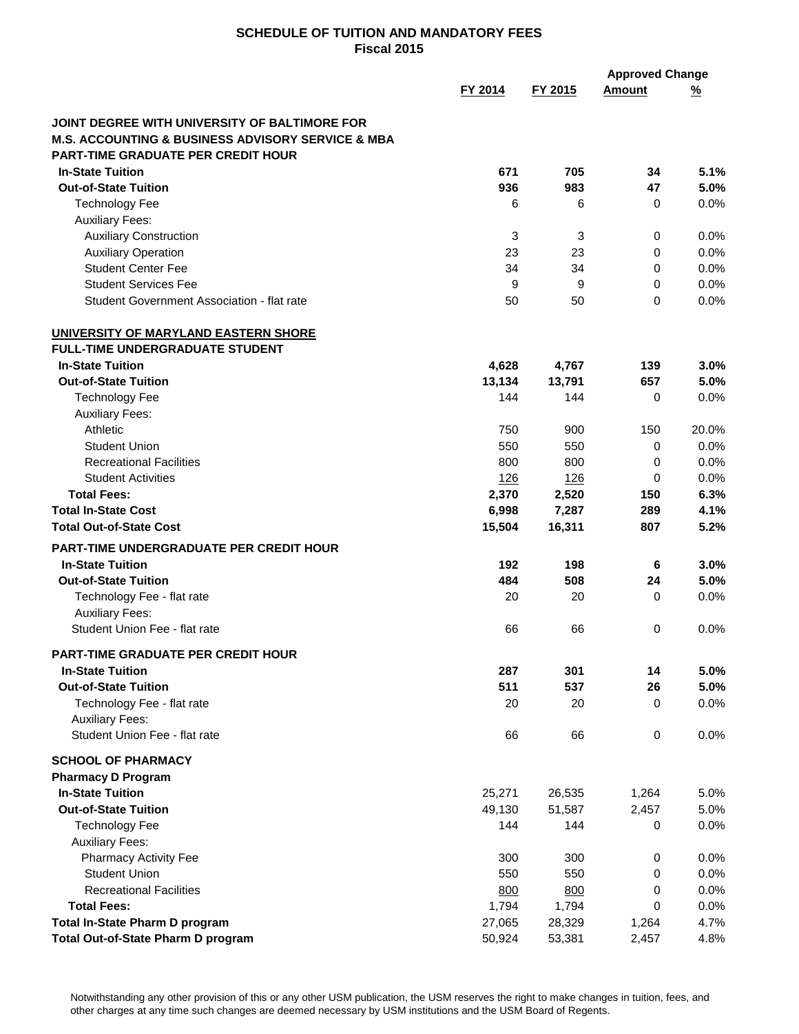|                                                                                                               |            |            | <b>Approved Change</b> |          |
|---------------------------------------------------------------------------------------------------------------|------------|------------|------------------------|----------|
|                                                                                                               | FY 2014    | FY 2015    | <b>Amount</b>          | <u>%</u> |
|                                                                                                               |            |            |                        |          |
| JOINT DEGREE WITH UNIVERSITY OF BALTIMORE FOR                                                                 |            |            |                        |          |
| <b>M.S. ACCOUNTING &amp; BUSINESS ADVISORY SERVICE &amp; MBA</b><br><b>PART-TIME GRADUATE PER CREDIT HOUR</b> |            |            |                        |          |
| <b>In-State Tuition</b>                                                                                       | 671        | 705        | 34                     | 5.1%     |
| <b>Out-of-State Tuition</b>                                                                                   | 936        | 983        | 47                     | 5.0%     |
| <b>Technology Fee</b>                                                                                         | 6          | 6          | 0                      | 0.0%     |
| <b>Auxiliary Fees:</b>                                                                                        |            |            |                        |          |
| <b>Auxiliary Construction</b>                                                                                 | 3          | 3          | 0                      | 0.0%     |
| <b>Auxiliary Operation</b>                                                                                    | 23         | 23         | 0                      | 0.0%     |
| <b>Student Center Fee</b>                                                                                     | 34         | 34         | 0                      | 0.0%     |
| <b>Student Services Fee</b>                                                                                   | 9          | 9          | 0                      | 0.0%     |
| Student Government Association - flat rate                                                                    | 50         | 50         | 0                      | 0.0%     |
|                                                                                                               |            |            |                        |          |
| UNIVERSITY OF MARYLAND EASTERN SHORE<br><b>FULL-TIME UNDERGRADUATE STUDENT</b>                                |            |            |                        |          |
| <b>In-State Tuition</b>                                                                                       | 4,628      | 4,767      | 139                    | 3.0%     |
| <b>Out-of-State Tuition</b>                                                                                   | 13,134     | 13,791     | 657                    | 5.0%     |
| <b>Technology Fee</b>                                                                                         | 144        | 144        | 0                      | 0.0%     |
| <b>Auxiliary Fees:</b>                                                                                        |            |            |                        |          |
| Athletic                                                                                                      | 750        | 900        | 150                    | 20.0%    |
| <b>Student Union</b>                                                                                          | 550        | 550        | 0                      | 0.0%     |
| <b>Recreational Facilities</b>                                                                                | 800        | 800        | 0                      | 0.0%     |
| <b>Student Activities</b>                                                                                     | <u>126</u> | <u>126</u> | 0                      | 0.0%     |
| <b>Total Fees:</b>                                                                                            | 2,370      | 2,520      | 150                    | 6.3%     |
| <b>Total In-State Cost</b>                                                                                    | 6,998      | 7,287      | 289                    | 4.1%     |
| <b>Total Out-of-State Cost</b>                                                                                | 15,504     | 16,311     | 807                    | 5.2%     |
| <b>PART-TIME UNDERGRADUATE PER CREDIT HOUR</b>                                                                |            |            |                        |          |
| <b>In-State Tuition</b>                                                                                       | 192        | 198        | 6                      | 3.0%     |
| <b>Out-of-State Tuition</b>                                                                                   | 484        | 508        | 24                     | 5.0%     |
| Technology Fee - flat rate                                                                                    | 20         | 20         | 0                      | 0.0%     |
| <b>Auxiliary Fees:</b>                                                                                        |            |            |                        |          |
| Student Union Fee - flat rate                                                                                 | 66         | 66         | 0                      | 0.0%     |
|                                                                                                               |            |            |                        |          |
| PART-TIME GRADUATE PER CREDIT HOUR                                                                            |            |            |                        |          |
| <b>In-State Tuition</b>                                                                                       | 287        | 301        | 14                     | 5.0%     |
| <b>Out-of-State Tuition</b>                                                                                   | 511        | 537        | 26                     | 5.0%     |
| Technology Fee - flat rate                                                                                    | 20         | 20         | 0                      | 0.0%     |
| <b>Auxiliary Fees:</b><br>Student Union Fee - flat rate                                                       |            |            |                        |          |
|                                                                                                               | 66         | 66         | $\mathbf 0$            | 0.0%     |
| <b>SCHOOL OF PHARMACY</b>                                                                                     |            |            |                        |          |
| <b>Pharmacy D Program</b>                                                                                     |            |            |                        |          |
| <b>In-State Tuition</b>                                                                                       | 25,271     | 26,535     | 1,264                  | 5.0%     |
| <b>Out-of-State Tuition</b>                                                                                   | 49,130     | 51,587     | 2,457                  | 5.0%     |
| <b>Technology Fee</b>                                                                                         | 144        | 144        | 0                      | 0.0%     |
| <b>Auxiliary Fees:</b>                                                                                        |            |            |                        |          |
| Pharmacy Activity Fee                                                                                         | 300        | 300        | 0                      | 0.0%     |
| <b>Student Union</b>                                                                                          | 550        | 550        | 0                      | 0.0%     |
| <b>Recreational Facilities</b>                                                                                | 800        | 800        | 0                      | 0.0%     |
| <b>Total Fees:</b>                                                                                            | 1,794      | 1,794      | 0                      | 0.0%     |
| Total In-State Pharm D program                                                                                | 27,065     | 28,329     | 1,264                  | 4.7%     |
| Total Out-of-State Pharm D program                                                                            | 50,924     | 53,381     | 2,457                  | 4.8%     |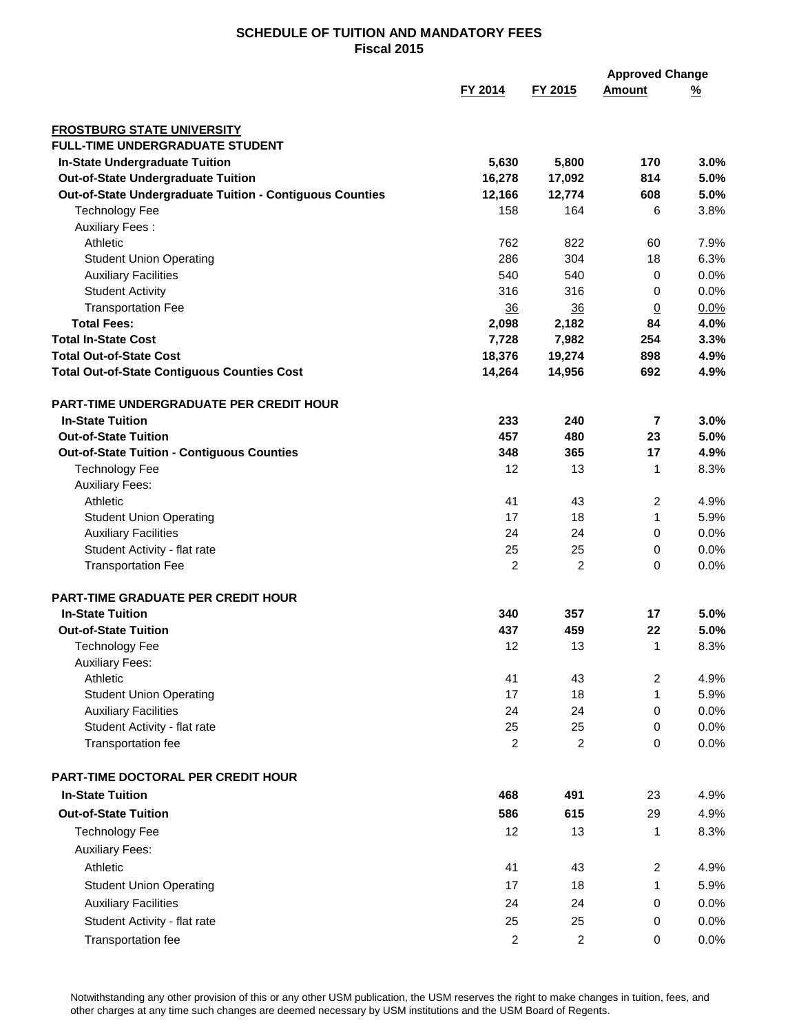|                                                                             |                 |                | <b>Approved Change</b> |          |
|-----------------------------------------------------------------------------|-----------------|----------------|------------------------|----------|
|                                                                             | FY 2014         | FY 2015        | <b>Amount</b>          | <u>%</u> |
|                                                                             |                 |                |                        |          |
| <b>FROSTBURG STATE UNIVERSITY</b><br><b>FULL-TIME UNDERGRADUATE STUDENT</b> |                 |                |                        |          |
| In-State Undergraduate Tuition                                              | 5,630           | 5,800          | 170                    | 3.0%     |
| <b>Out-of-State Undergraduate Tuition</b>                                   | 16,278          | 17,092         | 814                    | 5.0%     |
| Out-of-State Undergraduate Tuition - Contiguous Counties                    | 12,166          | 12,774         | 608                    | 5.0%     |
| <b>Technology Fee</b>                                                       | 158             | 164            | 6                      | 3.8%     |
| <b>Auxiliary Fees:</b>                                                      |                 |                |                        |          |
| Athletic                                                                    | 762             | 822            | 60                     | 7.9%     |
| <b>Student Union Operating</b>                                              | 286             | 304            | 18                     | 6.3%     |
| <b>Auxiliary Facilities</b>                                                 | 540             | 540            | 0                      | 0.0%     |
| <b>Student Activity</b>                                                     | 316             | 316            | 0                      | 0.0%     |
| <b>Transportation Fee</b>                                                   | $\overline{36}$ | 36             | $\overline{0}$         | 0.0%     |
| <b>Total Fees:</b>                                                          | 2,098           | 2,182          | 84                     | 4.0%     |
| <b>Total In-State Cost</b>                                                  | 7,728           | 7,982          | 254                    | 3.3%     |
| <b>Total Out-of-State Cost</b>                                              | 18,376          | 19,274         | 898                    | 4.9%     |
| <b>Total Out-of-State Contiguous Counties Cost</b>                          | 14,264          | 14,956         | 692                    | 4.9%     |
|                                                                             |                 |                |                        |          |
| <b>PART-TIME UNDERGRADUATE PER CREDIT HOUR</b>                              |                 |                |                        |          |
| <b>In-State Tuition</b>                                                     | 233             | 240            | 7                      | 3.0%     |
| <b>Out-of-State Tuition</b>                                                 | 457             | 480            | 23                     | 5.0%     |
| <b>Out-of-State Tuition - Contiguous Counties</b>                           | 348             | 365            | 17                     | 4.9%     |
| <b>Technology Fee</b>                                                       | 12              | 13             | 1                      | 8.3%     |
| <b>Auxiliary Fees:</b>                                                      |                 |                |                        |          |
| Athletic                                                                    | 41              | 43             | 2                      | 4.9%     |
| <b>Student Union Operating</b>                                              | 17              | 18             | 1                      | 5.9%     |
| <b>Auxiliary Facilities</b>                                                 | 24              | 24             | 0                      | 0.0%     |
| Student Activity - flat rate                                                | 25              | 25             | 0                      | 0.0%     |
| <b>Transportation Fee</b>                                                   | $\overline{2}$  | $\overline{2}$ | 0                      | 0.0%     |
| <b>PART-TIME GRADUATE PER CREDIT HOUR</b>                                   |                 |                |                        |          |
| <b>In-State Tuition</b>                                                     | 340             | 357            | 17                     | 5.0%     |
| <b>Out-of-State Tuition</b>                                                 | 437             | 459            | 22                     | 5.0%     |
| <b>Technology Fee</b>                                                       | 12              | 13             | 1                      | 8.3%     |
| <b>Auxiliary Fees:</b>                                                      |                 |                |                        |          |
| Athletic                                                                    | 41              | 43             | 2                      | 4.9%     |
| <b>Student Union Operating</b>                                              | 17              | 18             | 1                      | 5.9%     |
| <b>Auxiliary Facilities</b>                                                 | 24              | 24             | 0                      | 0.0%     |
| Student Activity - flat rate                                                | 25              | 25             | 0                      | 0.0%     |
| Transportation fee                                                          | $\overline{2}$  | $\overline{2}$ | 0                      | 0.0%     |
| PART-TIME DOCTORAL PER CREDIT HOUR                                          |                 |                |                        |          |
| <b>In-State Tuition</b>                                                     |                 |                |                        |          |
|                                                                             | 468             | 491            | 23                     | 4.9%     |
| <b>Out-of-State Tuition</b>                                                 | 586             | 615            | 29                     | 4.9%     |
| <b>Technology Fee</b>                                                       | 12              | 13             | 1                      | 8.3%     |
| <b>Auxiliary Fees:</b>                                                      |                 |                |                        |          |
| Athletic                                                                    | 41              | 43             | $\overline{c}$         | 4.9%     |
| <b>Student Union Operating</b>                                              | 17              | 18             | 1                      | 5.9%     |
| <b>Auxiliary Facilities</b>                                                 | 24              | 24             | 0                      | 0.0%     |
| Student Activity - flat rate                                                | 25              | 25             | 0                      | 0.0%     |
| Transportation fee                                                          | $\overline{c}$  | $\overline{c}$ | 0                      | $0.0\%$  |
|                                                                             |                 |                |                        |          |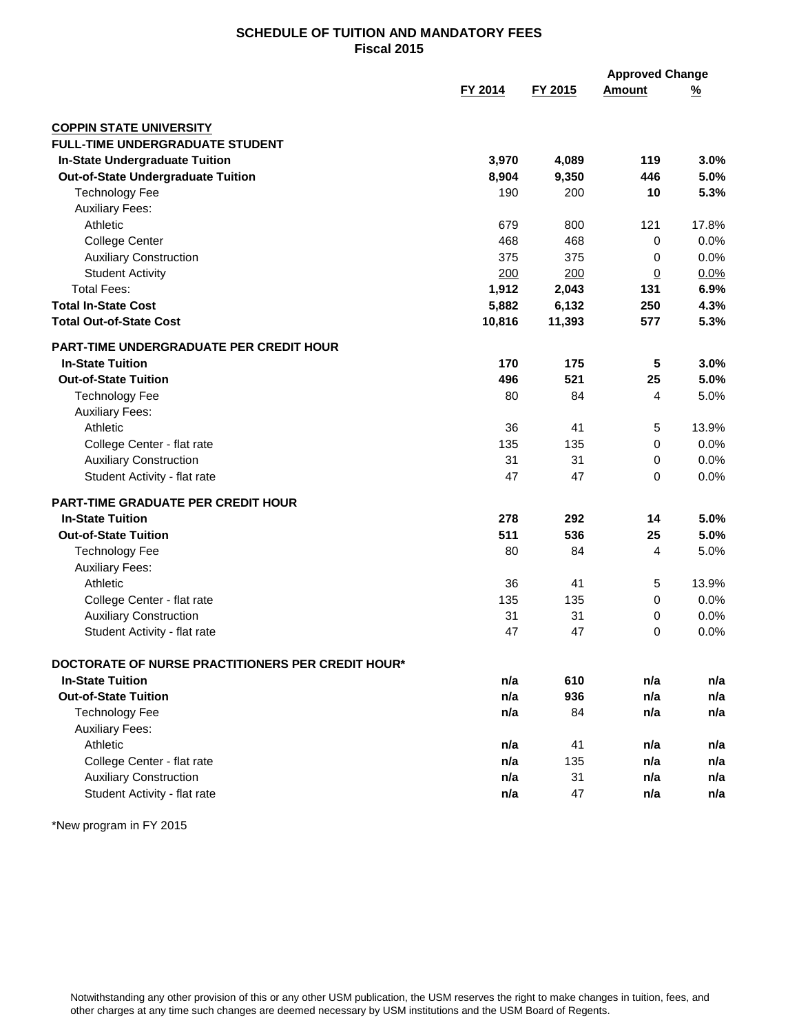|                                                   |         |         | <b>Approved Change</b> |          |
|---------------------------------------------------|---------|---------|------------------------|----------|
|                                                   | FY 2014 | FY 2015 | <b>Amount</b>          | <u>%</u> |
| <b>COPPIN STATE UNIVERSITY</b>                    |         |         |                        |          |
| <b>FULL-TIME UNDERGRADUATE STUDENT</b>            |         |         |                        |          |
| <b>In-State Undergraduate Tuition</b>             | 3,970   | 4,089   | 119                    | 3.0%     |
| <b>Out-of-State Undergraduate Tuition</b>         | 8,904   | 9,350   | 446                    | 5.0%     |
| <b>Technology Fee</b>                             | 190     | 200     | 10                     | 5.3%     |
| <b>Auxiliary Fees:</b>                            |         |         |                        |          |
| Athletic                                          | 679     | 800     | 121                    | 17.8%    |
| <b>College Center</b>                             | 468     | 468     | 0                      | 0.0%     |
| <b>Auxiliary Construction</b>                     | 375     | 375     | 0                      | 0.0%     |
| <b>Student Activity</b>                           | 200     | 200     | $\overline{0}$         | 0.0%     |
| <b>Total Fees:</b>                                | 1,912   | 2,043   | 131                    | 6.9%     |
| <b>Total In-State Cost</b>                        | 5,882   | 6,132   | 250                    | 4.3%     |
| <b>Total Out-of-State Cost</b>                    | 10,816  | 11,393  | 577                    | 5.3%     |
| <b>PART-TIME UNDERGRADUATE PER CREDIT HOUR</b>    |         |         |                        |          |
| <b>In-State Tuition</b>                           | 170     | 175     | 5                      | 3.0%     |
| <b>Out-of-State Tuition</b>                       | 496     | 521     | 25                     | 5.0%     |
| <b>Technology Fee</b>                             | 80      | 84      | 4                      | 5.0%     |
| <b>Auxiliary Fees:</b>                            |         |         |                        |          |
| Athletic                                          | 36      | 41      | 5                      | 13.9%    |
| College Center - flat rate                        | 135     | 135     | 0                      | 0.0%     |
| <b>Auxiliary Construction</b>                     | 31      | 31      | 0                      | 0.0%     |
| Student Activity - flat rate                      | 47      | 47      | 0                      | 0.0%     |
| PART-TIME GRADUATE PER CREDIT HOUR                |         |         |                        |          |
| <b>In-State Tuition</b>                           | 278     | 292     | 14                     | 5.0%     |
| <b>Out-of-State Tuition</b>                       | 511     | 536     | 25                     | 5.0%     |
| <b>Technology Fee</b>                             | 80      | 84      | 4                      | 5.0%     |
| <b>Auxiliary Fees:</b>                            |         |         |                        |          |
| Athletic                                          | 36      | 41      | 5                      | 13.9%    |
| College Center - flat rate                        | 135     | 135     | 0                      | 0.0%     |
| <b>Auxiliary Construction</b>                     | 31      | 31      | 0                      | 0.0%     |
| Student Activity - flat rate                      | 47      | 47      | 0                      | 0.0%     |
| DOCTORATE OF NURSE PRACTITIONERS PER CREDIT HOUR* |         |         |                        |          |
| <b>In-State Tuition</b>                           | n/a     | 610     | n/a                    | n/a      |
| <b>Out-of-State Tuition</b>                       | n/a     | 936     | n/a                    | n/a      |
| <b>Technology Fee</b>                             | n/a     | 84      | n/a                    | n/a      |
| <b>Auxiliary Fees:</b>                            |         |         |                        |          |
| Athletic                                          | n/a     | 41      | n/a                    | n/a      |
| College Center - flat rate                        | n/a     | 135     | n/a                    | n/a      |
| <b>Auxiliary Construction</b>                     | n/a     | 31      | n/a                    | n/a      |
| Student Activity - flat rate                      | n/a     | 47      | n/a                    | n/a      |

\*New program in FY 2015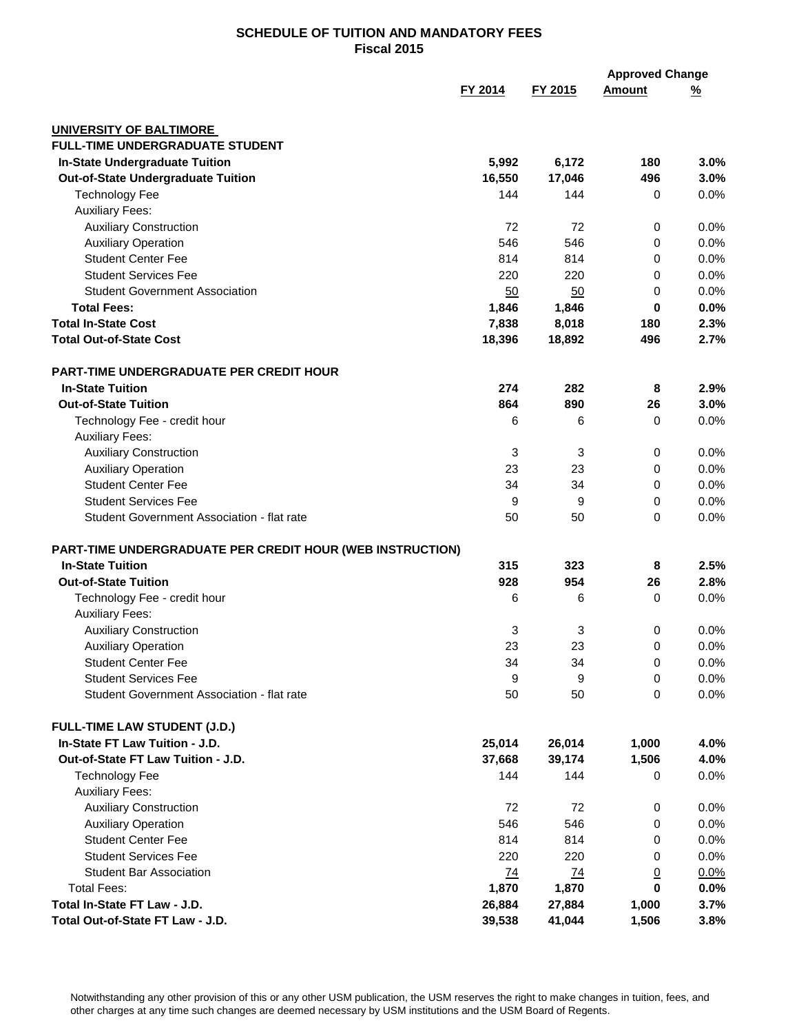| FY 2015<br>FY 2014<br><b>Amount</b><br><u>%</u><br><b>UNIVERSITY OF BALTIMORE</b><br><b>FULL-TIME UNDERGRADUATE STUDENT</b><br><b>In-State Undergraduate Tuition</b><br>5,992<br>6,172<br>180<br>3.0%<br>Out-of-State Undergraduate Tuition<br>16,550<br>17,046<br>496<br>3.0%<br><b>Technology Fee</b><br>144<br>0.0%<br>144<br>0<br><b>Auxiliary Fees:</b><br><b>Auxiliary Construction</b><br>72<br>72<br>0.0%<br>0<br>546<br><b>Auxiliary Operation</b><br>546<br>0.0%<br>0<br><b>Student Center Fee</b><br>814<br>814<br>0.0%<br>0 |
|-----------------------------------------------------------------------------------------------------------------------------------------------------------------------------------------------------------------------------------------------------------------------------------------------------------------------------------------------------------------------------------------------------------------------------------------------------------------------------------------------------------------------------------------|
|                                                                                                                                                                                                                                                                                                                                                                                                                                                                                                                                         |
|                                                                                                                                                                                                                                                                                                                                                                                                                                                                                                                                         |
|                                                                                                                                                                                                                                                                                                                                                                                                                                                                                                                                         |
|                                                                                                                                                                                                                                                                                                                                                                                                                                                                                                                                         |
|                                                                                                                                                                                                                                                                                                                                                                                                                                                                                                                                         |
|                                                                                                                                                                                                                                                                                                                                                                                                                                                                                                                                         |
|                                                                                                                                                                                                                                                                                                                                                                                                                                                                                                                                         |
|                                                                                                                                                                                                                                                                                                                                                                                                                                                                                                                                         |
|                                                                                                                                                                                                                                                                                                                                                                                                                                                                                                                                         |
|                                                                                                                                                                                                                                                                                                                                                                                                                                                                                                                                         |
| <b>Student Services Fee</b><br>220<br>220<br>0.0%<br>0                                                                                                                                                                                                                                                                                                                                                                                                                                                                                  |
| <b>Student Government Association</b><br>50<br>0.0%<br>50<br>0                                                                                                                                                                                                                                                                                                                                                                                                                                                                          |
| <b>Total Fees:</b><br>1,846<br>1,846<br>$\mathbf 0$<br>0.0%                                                                                                                                                                                                                                                                                                                                                                                                                                                                             |
| <b>Total In-State Cost</b><br>7,838<br>8,018<br>180<br>2.3%                                                                                                                                                                                                                                                                                                                                                                                                                                                                             |
| <b>Total Out-of-State Cost</b><br>18,396<br>496<br>2.7%<br>18,892                                                                                                                                                                                                                                                                                                                                                                                                                                                                       |
|                                                                                                                                                                                                                                                                                                                                                                                                                                                                                                                                         |
| <b>PART-TIME UNDERGRADUATE PER CREDIT HOUR</b>                                                                                                                                                                                                                                                                                                                                                                                                                                                                                          |
| <b>In-State Tuition</b><br>274<br>282<br>8<br>2.9%                                                                                                                                                                                                                                                                                                                                                                                                                                                                                      |
| 864<br><b>Out-of-State Tuition</b><br>890<br>26<br>3.0%                                                                                                                                                                                                                                                                                                                                                                                                                                                                                 |
| Technology Fee - credit hour<br>6<br>6<br>0.0%<br>0                                                                                                                                                                                                                                                                                                                                                                                                                                                                                     |
| <b>Auxiliary Fees:</b>                                                                                                                                                                                                                                                                                                                                                                                                                                                                                                                  |
| <b>Auxiliary Construction</b><br>3<br>3<br>0.0%<br>0                                                                                                                                                                                                                                                                                                                                                                                                                                                                                    |
| <b>Auxiliary Operation</b><br>23<br>0.0%<br>23<br>0                                                                                                                                                                                                                                                                                                                                                                                                                                                                                     |
| <b>Student Center Fee</b><br>34<br>34<br>0.0%<br>0                                                                                                                                                                                                                                                                                                                                                                                                                                                                                      |
| <b>Student Services Fee</b><br>9<br>9<br>0.0%<br>0                                                                                                                                                                                                                                                                                                                                                                                                                                                                                      |
| Student Government Association - flat rate<br>50<br>50<br>$\Omega$<br>0.0%                                                                                                                                                                                                                                                                                                                                                                                                                                                              |
| PART-TIME UNDERGRADUATE PER CREDIT HOUR (WEB INSTRUCTION)                                                                                                                                                                                                                                                                                                                                                                                                                                                                               |
| <b>In-State Tuition</b><br>315<br>323<br>2.5%<br>8                                                                                                                                                                                                                                                                                                                                                                                                                                                                                      |
| 928<br>954<br><b>Out-of-State Tuition</b><br>2.8%<br>26                                                                                                                                                                                                                                                                                                                                                                                                                                                                                 |
| Technology Fee - credit hour<br>6<br>6<br>0.0%<br>0                                                                                                                                                                                                                                                                                                                                                                                                                                                                                     |
| <b>Auxiliary Fees:</b>                                                                                                                                                                                                                                                                                                                                                                                                                                                                                                                  |
| <b>Auxiliary Construction</b><br>3<br>3<br>0<br>0.0%                                                                                                                                                                                                                                                                                                                                                                                                                                                                                    |
| 23<br>23<br><b>Auxiliary Operation</b><br>0.0%<br>0                                                                                                                                                                                                                                                                                                                                                                                                                                                                                     |
| <b>Student Center Fee</b><br>34<br>0<br>0.0%<br>34                                                                                                                                                                                                                                                                                                                                                                                                                                                                                      |
| <b>Student Services Fee</b><br>9<br>9<br>0.0%<br>0                                                                                                                                                                                                                                                                                                                                                                                                                                                                                      |
| 0.0%<br>Student Government Association - flat rate<br>50<br>50<br>0                                                                                                                                                                                                                                                                                                                                                                                                                                                                     |
| <b>FULL-TIME LAW STUDENT (J.D.)</b>                                                                                                                                                                                                                                                                                                                                                                                                                                                                                                     |
| In-State FT Law Tuition - J.D.<br>25,014<br>1,000<br>4.0%<br>26,014                                                                                                                                                                                                                                                                                                                                                                                                                                                                     |
| 1,506<br>Out-of-State FT Law Tuition - J.D.<br>37,668<br>39,174<br>4.0%                                                                                                                                                                                                                                                                                                                                                                                                                                                                 |
| 144<br>144<br>0.0%<br><b>Technology Fee</b><br>0                                                                                                                                                                                                                                                                                                                                                                                                                                                                                        |
| <b>Auxiliary Fees:</b>                                                                                                                                                                                                                                                                                                                                                                                                                                                                                                                  |
| <b>Auxiliary Construction</b><br>0.0%<br>72<br>72<br>0                                                                                                                                                                                                                                                                                                                                                                                                                                                                                  |
| 546<br><b>Auxiliary Operation</b><br>546<br>0.0%<br>0                                                                                                                                                                                                                                                                                                                                                                                                                                                                                   |
| <b>Student Center Fee</b><br>814<br>814<br>0.0%<br>0                                                                                                                                                                                                                                                                                                                                                                                                                                                                                    |
| <b>Student Services Fee</b><br>220<br>220<br>0.0%<br>0                                                                                                                                                                                                                                                                                                                                                                                                                                                                                  |
| <b>Student Bar Association</b><br>0.0%<br>74<br>$\overline{74}$                                                                                                                                                                                                                                                                                                                                                                                                                                                                         |
| $\overline{0}$<br>1,870<br><b>Total Fees:</b><br>1,870<br>$\mathbf 0$<br>0.0%                                                                                                                                                                                                                                                                                                                                                                                                                                                           |
| Total In-State FT Law - J.D.<br>26,884<br>27,884<br>3.7%<br>1,000                                                                                                                                                                                                                                                                                                                                                                                                                                                                       |
| Total Out-of-State FT Law - J.D.<br>39,538<br>41,044<br>1,506<br>3.8%                                                                                                                                                                                                                                                                                                                                                                                                                                                                   |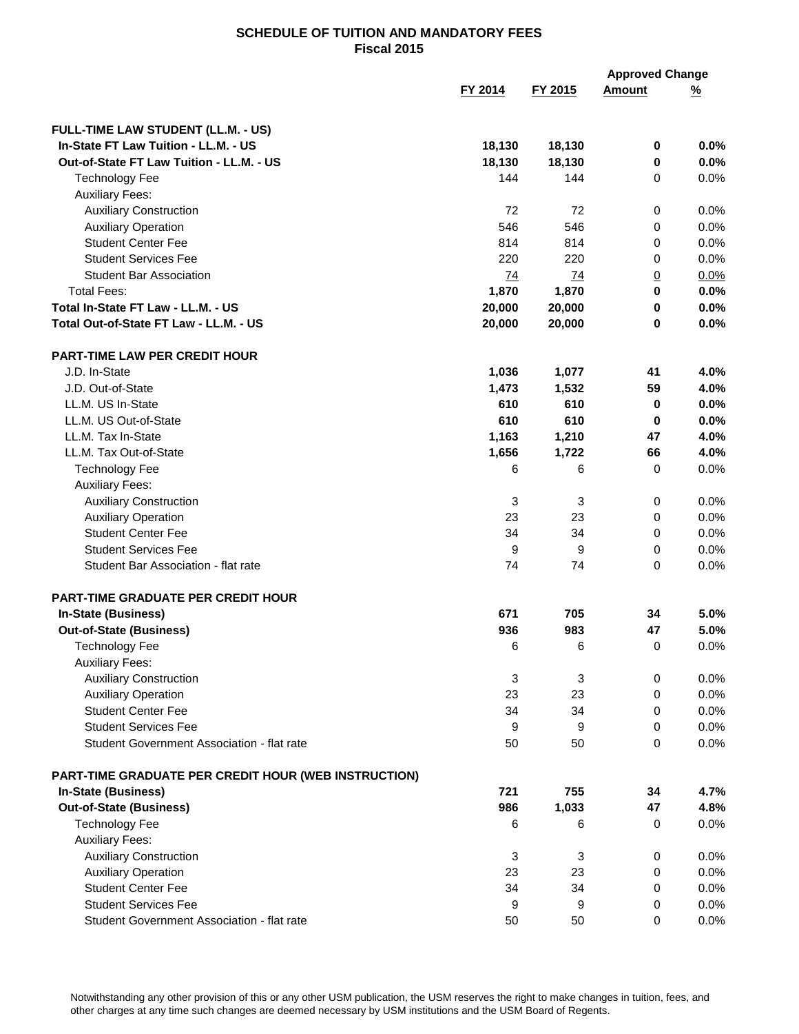|                                                      |         |         | <b>Approved Change</b> |          |
|------------------------------------------------------|---------|---------|------------------------|----------|
|                                                      | FY 2014 | FY 2015 | <b>Amount</b>          | <u>%</u> |
| FULL-TIME LAW STUDENT (LL.M. - US)                   |         |         |                        |          |
| In-State FT Law Tuition - LL.M. - US                 | 18,130  | 18,130  | $\mathbf 0$            | 0.0%     |
| Out-of-State FT Law Tuition - LL.M. - US             | 18,130  | 18,130  | $\pmb{0}$              | 0.0%     |
| <b>Technology Fee</b>                                | 144     | 144     | $\mathbf 0$            | 0.0%     |
| <b>Auxiliary Fees:</b>                               |         |         |                        |          |
| <b>Auxiliary Construction</b>                        | 72      | 72      | 0                      | 0.0%     |
| <b>Auxiliary Operation</b>                           | 546     | 546     | 0                      | 0.0%     |
| <b>Student Center Fee</b>                            | 814     | 814     | 0                      | 0.0%     |
| <b>Student Services Fee</b>                          | 220     | 220     | 0                      | 0.0%     |
| <b>Student Bar Association</b>                       | 74      | 74      | $\overline{0}$         | 0.0%     |
| <b>Total Fees:</b>                                   | 1,870   | 1,870   | $\mathbf 0$            | 0.0%     |
| Total In-State FT Law - LL.M. - US                   | 20,000  | 20,000  | $\mathbf 0$            | 0.0%     |
| Total Out-of-State FT Law - LL.M. - US               | 20,000  | 20,000  | 0                      | 0.0%     |
| PART-TIME LAW PER CREDIT HOUR                        |         |         |                        |          |
| J.D. In-State                                        | 1,036   | 1,077   | 41                     | 4.0%     |
| J.D. Out-of-State                                    | 1,473   | 1,532   | 59                     | 4.0%     |
| LL.M. US In-State                                    | 610     | 610     | $\mathbf 0$            | 0.0%     |
| LL.M. US Out-of-State                                | 610     | 610     | 0                      | 0.0%     |
| LL.M. Tax In-State                                   | 1,163   | 1,210   | 47                     | 4.0%     |
| LL.M. Tax Out-of-State                               | 1,656   | 1,722   | 66                     | 4.0%     |
| <b>Technology Fee</b>                                | 6       | 6       | $\mathbf 0$            | 0.0%     |
| <b>Auxiliary Fees:</b>                               |         |         |                        |          |
| <b>Auxiliary Construction</b>                        | 3       | 3       | 0                      | 0.0%     |
| <b>Auxiliary Operation</b>                           | 23      | 23      | 0                      | 0.0%     |
| <b>Student Center Fee</b>                            | 34      | 34      | $\Omega$               | 0.0%     |
| <b>Student Services Fee</b>                          | 9       | 9       | 0                      | 0.0%     |
| Student Bar Association - flat rate                  | 74      | 74      | $\Omega$               | 0.0%     |
|                                                      |         |         |                        |          |
| <b>PART-TIME GRADUATE PER CREDIT HOUR</b>            |         |         |                        |          |
| <b>In-State (Business)</b>                           | 671     | 705     | 34                     | 5.0%     |
| <b>Out-of-State (Business)</b>                       | 936     | 983     | 47                     | 5.0%     |
| <b>Technology Fee</b>                                | 6       | 6       | 0                      | 0.0%     |
| <b>Auxiliary Fees:</b>                               |         |         |                        |          |
| <b>Auxiliary Construction</b>                        | 3       | 3       | 0                      | 0.0%     |
| <b>Auxiliary Operation</b>                           | 23      | 23      | $\mathbf 0$            | 0.0%     |
| <b>Student Center Fee</b>                            | 34      | 34      | 0                      | 0.0%     |
| <b>Student Services Fee</b>                          | 9       | 9       | $\mathbf 0$            | 0.0%     |
| Student Government Association - flat rate           | 50      | 50      | $\mathbf 0$            | 0.0%     |
| PART-TIME GRADUATE PER CREDIT HOUR (WEB INSTRUCTION) |         |         |                        |          |
| In-State (Business)                                  | 721     | 755     | 34                     | 4.7%     |
| <b>Out-of-State (Business)</b>                       | 986     | 1,033   | 47                     | 4.8%     |
| <b>Technology Fee</b>                                | 6       | 6       | 0                      | 0.0%     |
| <b>Auxiliary Fees:</b>                               |         |         |                        |          |
| <b>Auxiliary Construction</b>                        | 3       | 3       | 0                      | 0.0%     |
| <b>Auxiliary Operation</b>                           | 23      | 23      | 0                      | 0.0%     |
| <b>Student Center Fee</b>                            | 34      | 34      | 0                      | 0.0%     |
| <b>Student Services Fee</b>                          | 9       | 9       | 0                      | 0.0%     |
| Student Government Association - flat rate           | 50      | 50      | 0                      | $0.0\%$  |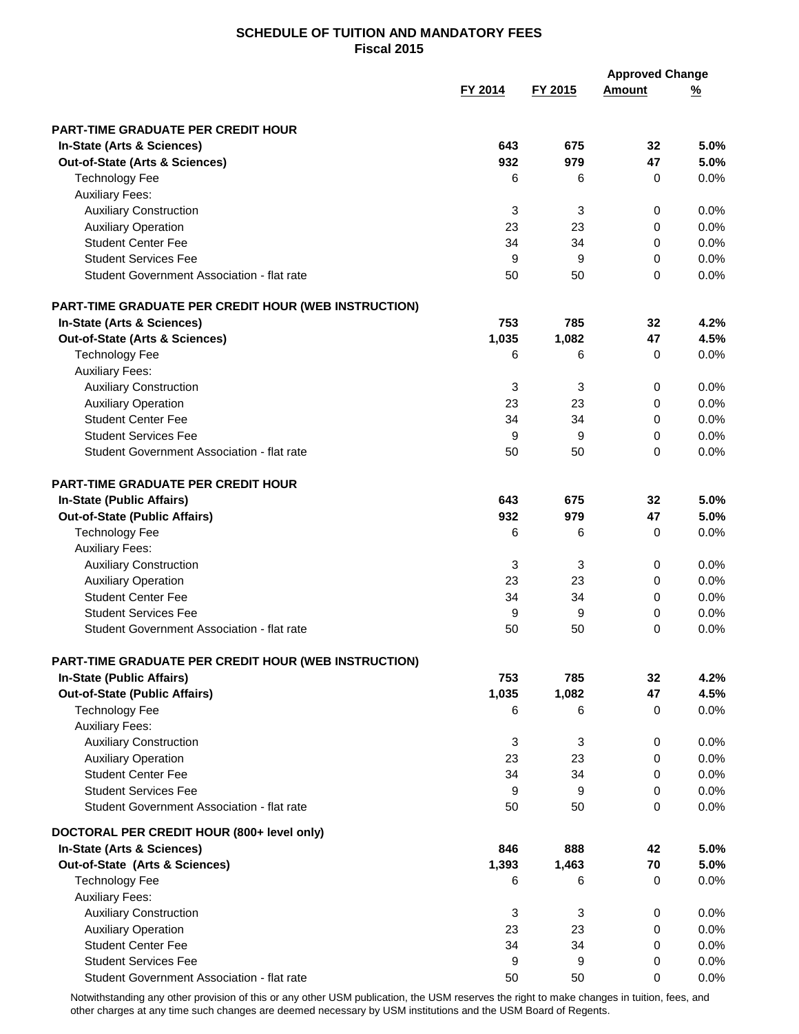|                                                          |         |         | <b>Approved Change</b> |              |
|----------------------------------------------------------|---------|---------|------------------------|--------------|
|                                                          | FY 2014 | FY 2015 | <b>Amount</b>          | <u>%</u>     |
|                                                          |         |         |                        |              |
| <b>PART-TIME GRADUATE PER CREDIT HOUR</b>                |         |         |                        |              |
| In-State (Arts & Sciences)                               | 643     | 675     | 32                     | 5.0%         |
| Out-of-State (Arts & Sciences)                           | 932     | 979     | 47                     | 5.0%         |
| <b>Technology Fee</b>                                    | 6       | 6       | 0                      | 0.0%         |
| <b>Auxiliary Fees:</b>                                   |         |         |                        |              |
| <b>Auxiliary Construction</b>                            | 3       | 3       | 0                      | 0.0%         |
| <b>Auxiliary Operation</b>                               | 23      | 23      | 0                      | 0.0%         |
| <b>Student Center Fee</b><br><b>Student Services Fee</b> | 34      | 34      | 0                      | 0.0%<br>0.0% |
| Student Government Association - flat rate               | 9<br>50 | 9<br>50 | 0<br>$\Omega$          | 0.0%         |
|                                                          |         |         |                        |              |
| PART-TIME GRADUATE PER CREDIT HOUR (WEB INSTRUCTION)     |         |         |                        |              |
| In-State (Arts & Sciences)                               | 753     | 785     | 32                     | 4.2%         |
| Out-of-State (Arts & Sciences)                           | 1,035   | 1,082   | 47                     | 4.5%         |
| <b>Technology Fee</b>                                    | 6       | 6       | 0                      | 0.0%         |
| <b>Auxiliary Fees:</b>                                   |         |         |                        |              |
| <b>Auxiliary Construction</b>                            | 3       | 3       | 0                      | 0.0%         |
| <b>Auxiliary Operation</b>                               | 23      | 23      | 0                      | 0.0%         |
| <b>Student Center Fee</b>                                | 34      | 34      | $\mathbf 0$            | 0.0%         |
| <b>Student Services Fee</b>                              | 9       | 9       | $\mathbf 0$            | 0.0%         |
| Student Government Association - flat rate               | 50      | 50      | $\Omega$               | 0.0%         |
| <b>PART-TIME GRADUATE PER CREDIT HOUR</b>                |         |         |                        |              |
| In-State (Public Affairs)                                | 643     | 675     | 32                     | 5.0%         |
| <b>Out-of-State (Public Affairs)</b>                     | 932     | 979     | 47                     | 5.0%         |
| <b>Technology Fee</b>                                    | 6       | 6       | 0                      | 0.0%         |
| <b>Auxiliary Fees:</b>                                   |         |         |                        |              |
| <b>Auxiliary Construction</b>                            | 3       | 3       | 0                      | 0.0%         |
| <b>Auxiliary Operation</b>                               | 23      | 23      | 0                      | 0.0%         |
| <b>Student Center Fee</b>                                | 34      | 34      | 0                      | 0.0%         |
| <b>Student Services Fee</b>                              | 9       | 9       | 0                      | 0.0%         |
| Student Government Association - flat rate               | 50      | 50      | 0                      | 0.0%         |
| PART-TIME GRADUATE PER CREDIT HOUR (WEB INSTRUCTION)     |         |         |                        |              |
| In-State (Public Affairs)                                | 753     | 785     | 32                     | 4.2%         |
| <b>Out-of-State (Public Affairs)</b>                     | 1,035   | 1,082   | 47                     | 4.5%         |
| <b>Technology Fee</b>                                    | 6       | 6       | 0                      | 0.0%         |
| <b>Auxiliary Fees:</b>                                   |         |         |                        |              |
| <b>Auxiliary Construction</b>                            | 3       | 3       | 0                      | 0.0%         |
| <b>Auxiliary Operation</b>                               | 23      | 23      | 0                      | 0.0%         |
| <b>Student Center Fee</b>                                | 34      | 34      | 0                      | 0.0%         |
| <b>Student Services Fee</b>                              | 9       | 9       | 0                      | 0.0%         |
| Student Government Association - flat rate               | 50      | 50      | 0                      | 0.0%         |
| DOCTORAL PER CREDIT HOUR (800+ level only)               |         |         |                        |              |
| In-State (Arts & Sciences)                               | 846     | 888     | 42                     | 5.0%         |
| Out-of-State (Arts & Sciences)                           | 1,393   | 1,463   | 70                     | 5.0%         |
| <b>Technology Fee</b>                                    | 6       | 6       | 0                      | 0.0%         |
| <b>Auxiliary Fees:</b>                                   |         |         |                        |              |
| <b>Auxiliary Construction</b>                            | 3       | 3       | $\mathbf 0$            | 0.0%         |
| <b>Auxiliary Operation</b>                               | 23      | 23      | 0                      | 0.0%         |
| <b>Student Center Fee</b>                                | 34      | 34      | 0                      | 0.0%         |
| <b>Student Services Fee</b>                              | 9       | 9       | 0                      | 0.0%         |
| Student Government Association - flat rate               | 50      | 50      | 0                      | $0.0\%$      |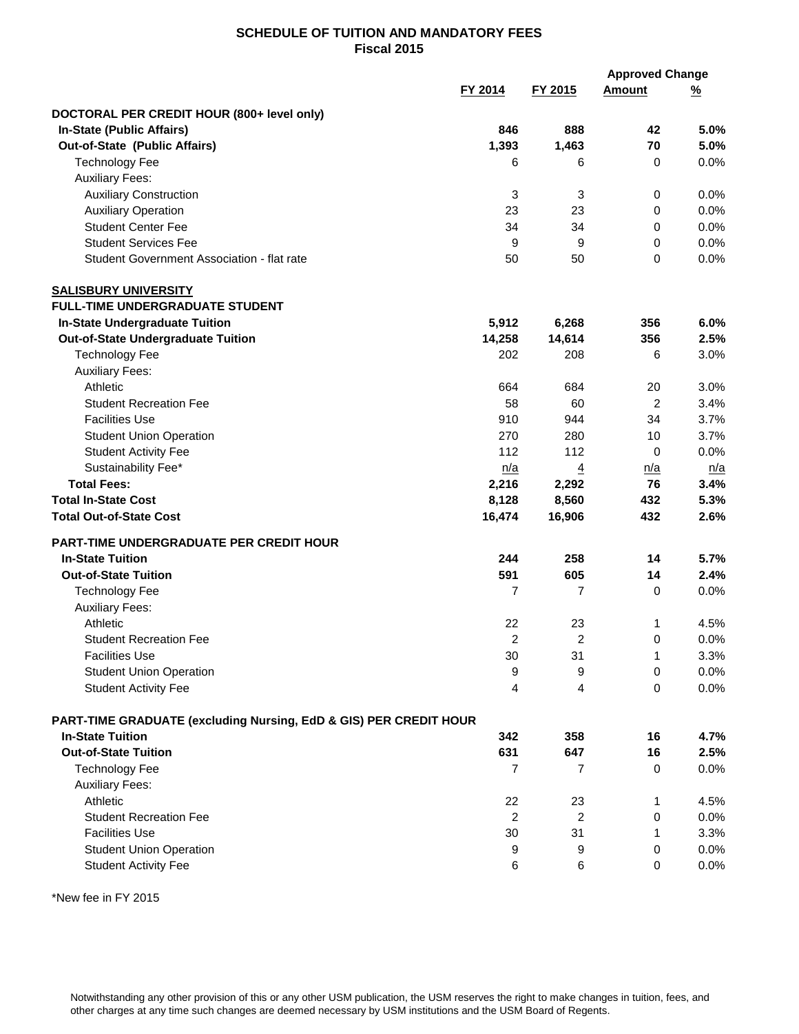|                                                                   |                |                |                | <b>Approved Change</b> |
|-------------------------------------------------------------------|----------------|----------------|----------------|------------------------|
|                                                                   | FY 2014        | FY 2015        | <b>Amount</b>  | <u>%</u>               |
| DOCTORAL PER CREDIT HOUR (800+ level only)                        |                |                |                |                        |
| <b>In-State (Public Affairs)</b>                                  | 846            | 888            | 42             | 5.0%                   |
| Out-of-State (Public Affairs)                                     | 1,393          | 1,463          | 70             | 5.0%                   |
| <b>Technology Fee</b>                                             | 6              | 6              | 0              | 0.0%                   |
| <b>Auxiliary Fees:</b>                                            |                |                |                |                        |
| <b>Auxiliary Construction</b>                                     | 3              | 3              | 0              | 0.0%                   |
| <b>Auxiliary Operation</b>                                        | 23             | 23             | 0              | 0.0%                   |
| <b>Student Center Fee</b>                                         | 34             | 34             | 0              | 0.0%                   |
| <b>Student Services Fee</b>                                       | 9              | 9              | 0              | 0.0%                   |
| Student Government Association - flat rate                        | 50             | 50             | 0              | 0.0%                   |
| <b>SALISBURY UNIVERSITY</b>                                       |                |                |                |                        |
| <b>FULL-TIME UNDERGRADUATE STUDENT</b>                            |                |                |                |                        |
| <b>In-State Undergraduate Tuition</b>                             | 5,912          | 6,268          | 356            | 6.0%                   |
| <b>Out-of-State Undergraduate Tuition</b>                         | 14,258         | 14,614         | 356            | 2.5%                   |
| <b>Technology Fee</b>                                             | 202            | 208            | 6              | 3.0%                   |
| <b>Auxiliary Fees:</b>                                            |                |                |                |                        |
| Athletic                                                          | 664            | 684            | 20             | 3.0%                   |
| <b>Student Recreation Fee</b>                                     | 58             | 60             | $\overline{c}$ | 3.4%                   |
| <b>Facilities Use</b>                                             | 910            | 944            | 34             | 3.7%                   |
| <b>Student Union Operation</b>                                    | 270            | 280            | 10             | 3.7%                   |
| <b>Student Activity Fee</b>                                       | 112            | 112            | $\mathbf 0$    | 0.0%                   |
| Sustainability Fee*                                               | n/a            | $\overline{4}$ | n/a            | n/a                    |
| <b>Total Fees:</b>                                                | 2,216          | 2,292          | 76             | 3.4%                   |
| <b>Total In-State Cost</b>                                        | 8,128          | 8,560          | 432            | 5.3%                   |
| <b>Total Out-of-State Cost</b>                                    | 16,474         | 16,906         | 432            | 2.6%                   |
| <b>PART-TIME UNDERGRADUATE PER CREDIT HOUR</b>                    |                |                |                |                        |
| <b>In-State Tuition</b>                                           | 244            | 258            | 14             | 5.7%                   |
| <b>Out-of-State Tuition</b>                                       | 591            | 605            | 14             | 2.4%                   |
| <b>Technology Fee</b>                                             | 7              | 7              | 0              | 0.0%                   |
| <b>Auxiliary Fees:</b>                                            |                |                |                |                        |
| Athletic                                                          | 22             | 23             | $\mathbf{1}$   | 4.5%                   |
| <b>Student Recreation Fee</b>                                     | 2              | 2              | 0              | 0.0%                   |
| <b>Facilities Use</b>                                             | 30             | 31             | 1              | 3.3%                   |
| <b>Student Union Operation</b>                                    | 9              | 9              | 0              | 0.0%                   |
| <b>Student Activity Fee</b>                                       | $\overline{4}$ | 4              | $\mathbf 0$    | 0.0%                   |
| PART-TIME GRADUATE (excluding Nursing, EdD & GIS) PER CREDIT HOUR |                |                |                |                        |
| <b>In-State Tuition</b>                                           | 342            | 358            | 16             | 4.7%                   |
| <b>Out-of-State Tuition</b>                                       | 631            | 647            | 16             | 2.5%                   |
| <b>Technology Fee</b>                                             | 7              | 7              | 0              | 0.0%                   |
| <b>Auxiliary Fees:</b>                                            |                |                |                |                        |
| Athletic                                                          | 22             | 23             | 1              | 4.5%                   |
| <b>Student Recreation Fee</b>                                     | 2              | $\overline{c}$ | 0              | 0.0%                   |
| <b>Facilities Use</b>                                             | 30             | 31             | 1              | 3.3%                   |
| <b>Student Union Operation</b>                                    | 9              | 9              | 0              | 0.0%                   |
| <b>Student Activity Fee</b>                                       | 6              | 6              | 0              | 0.0%                   |

\*New fee in FY 2015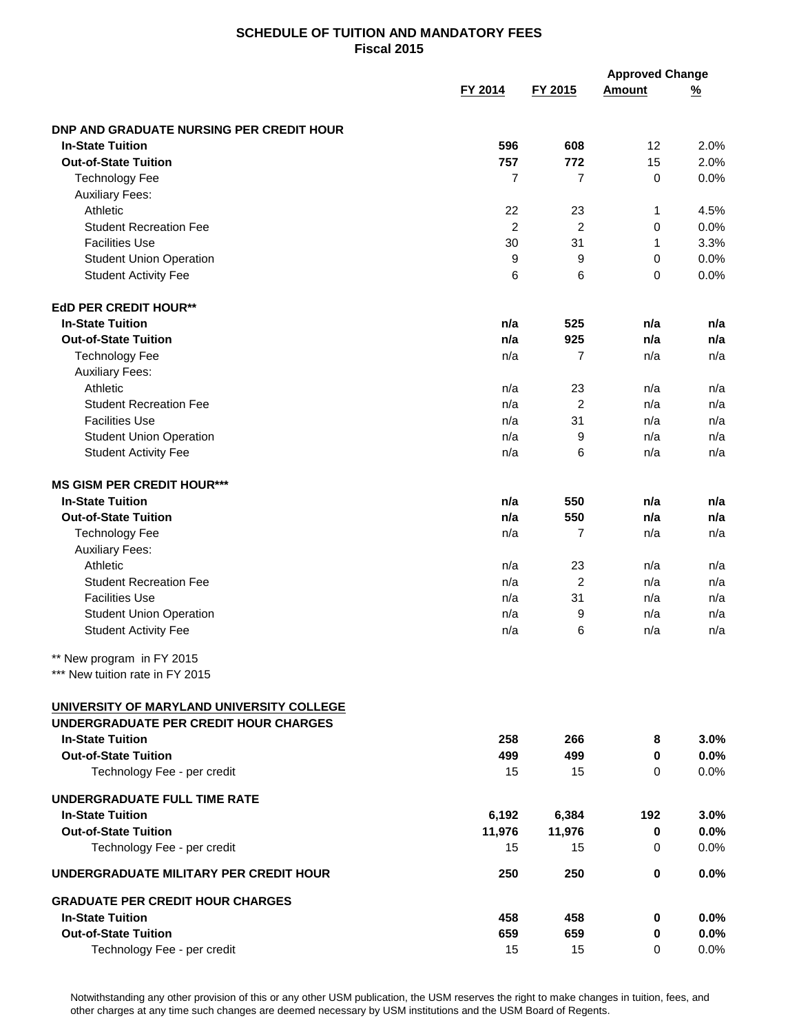|                                                               |                |                | <b>Approved Change</b> |               |
|---------------------------------------------------------------|----------------|----------------|------------------------|---------------|
|                                                               | FY 2014        | FY 2015        | <b>Amount</b>          | $\frac{9}{6}$ |
| DNP AND GRADUATE NURSING PER CREDIT HOUR                      |                |                |                        |               |
| <b>In-State Tuition</b>                                       | 596            | 608            | 12                     | 2.0%          |
| <b>Out-of-State Tuition</b>                                   | 757            | 772            | 15                     | 2.0%          |
| <b>Technology Fee</b>                                         | $\overline{7}$ | $\overline{7}$ | $\mathbf 0$            | 0.0%          |
| <b>Auxiliary Fees:</b>                                        |                |                |                        |               |
| Athletic                                                      | 22             | 23             | 1                      | 4.5%          |
| <b>Student Recreation Fee</b>                                 | $\overline{c}$ | $\overline{2}$ | 0                      | 0.0%          |
| <b>Facilities Use</b>                                         | 30             | 31             | $\mathbf{1}$           | 3.3%          |
|                                                               | 9              |                | 0                      | 0.0%          |
| <b>Student Union Operation</b><br><b>Student Activity Fee</b> | 6              | 9<br>6         | 0                      | 0.0%          |
|                                                               |                |                |                        |               |
| <b>EdD PER CREDIT HOUR**</b>                                  |                |                |                        |               |
| <b>In-State Tuition</b>                                       | n/a            | 525            | n/a                    | n/a           |
| <b>Out-of-State Tuition</b>                                   | n/a            | 925            | n/a                    | n/a           |
| <b>Technology Fee</b>                                         | n/a            | $\overline{7}$ | n/a                    | n/a           |
| <b>Auxiliary Fees:</b>                                        |                |                |                        |               |
| Athletic                                                      | n/a            | 23             | n/a                    | n/a           |
| <b>Student Recreation Fee</b>                                 | n/a            | $\overline{c}$ | n/a                    | n/a           |
| <b>Facilities Use</b>                                         | n/a            | 31             | n/a                    | n/a           |
| <b>Student Union Operation</b>                                | n/a            | 9              | n/a                    | n/a           |
| <b>Student Activity Fee</b>                                   | n/a            | 6              | n/a                    | n/a           |
| <b>MS GISM PER CREDIT HOUR***</b>                             |                |                |                        |               |
| <b>In-State Tuition</b>                                       | n/a            | 550            | n/a                    | n/a           |
| <b>Out-of-State Tuition</b>                                   | n/a            | 550            | n/a                    | n/a           |
| <b>Technology Fee</b>                                         | n/a            | $\overline{7}$ | n/a                    | n/a           |
| <b>Auxiliary Fees:</b>                                        |                |                |                        |               |
| Athletic                                                      | n/a            | 23             | n/a                    | n/a           |
| <b>Student Recreation Fee</b>                                 | n/a            | $\overline{2}$ | n/a                    | n/a           |
| <b>Facilities Use</b>                                         | n/a            | 31             | n/a                    | n/a           |
|                                                               |                |                |                        |               |
| <b>Student Union Operation</b>                                | n/a            | 9              | n/a                    | n/a           |
| <b>Student Activity Fee</b>                                   | n/a            | 6              | n/a                    | n/a           |
| New program in FY 2015                                        |                |                |                        |               |
| *** New tuition rate in FY 2015                               |                |                |                        |               |
| UNIVERSITY OF MARYLAND UNIVERSITY COLLEGE                     |                |                |                        |               |
| <b>UNDERGRADUATE PER CREDIT HOUR CHARGES</b>                  |                |                |                        |               |
| <b>In-State Tuition</b>                                       | 258            | 266            | 8                      | 3.0%          |
| <b>Out-of-State Tuition</b>                                   | 499            | 499            | 0                      | 0.0%          |
| Technology Fee - per credit                                   | 15             | 15             | 0                      | 0.0%          |
| UNDERGRADUATE FULL TIME RATE                                  |                |                |                        |               |
| <b>In-State Tuition</b>                                       | 6,192          | 6,384          | 192                    | 3.0%          |
| <b>Out-of-State Tuition</b>                                   | 11,976         | 11,976         | 0                      | 0.0%          |
| Technology Fee - per credit                                   | 15             | 15             | 0                      | 0.0%          |
| UNDERGRADUATE MILITARY PER CREDIT HOUR                        | 250            | 250            | 0                      | 0.0%          |
| <b>GRADUATE PER CREDIT HOUR CHARGES</b>                       |                |                |                        |               |
| <b>In-State Tuition</b>                                       | 458            | 458            | 0                      | 0.0%          |
| <b>Out-of-State Tuition</b>                                   | 659            | 659            | 0                      | 0.0%          |
| Technology Fee - per credit                                   | 15             | 15             | 0                      | 0.0%          |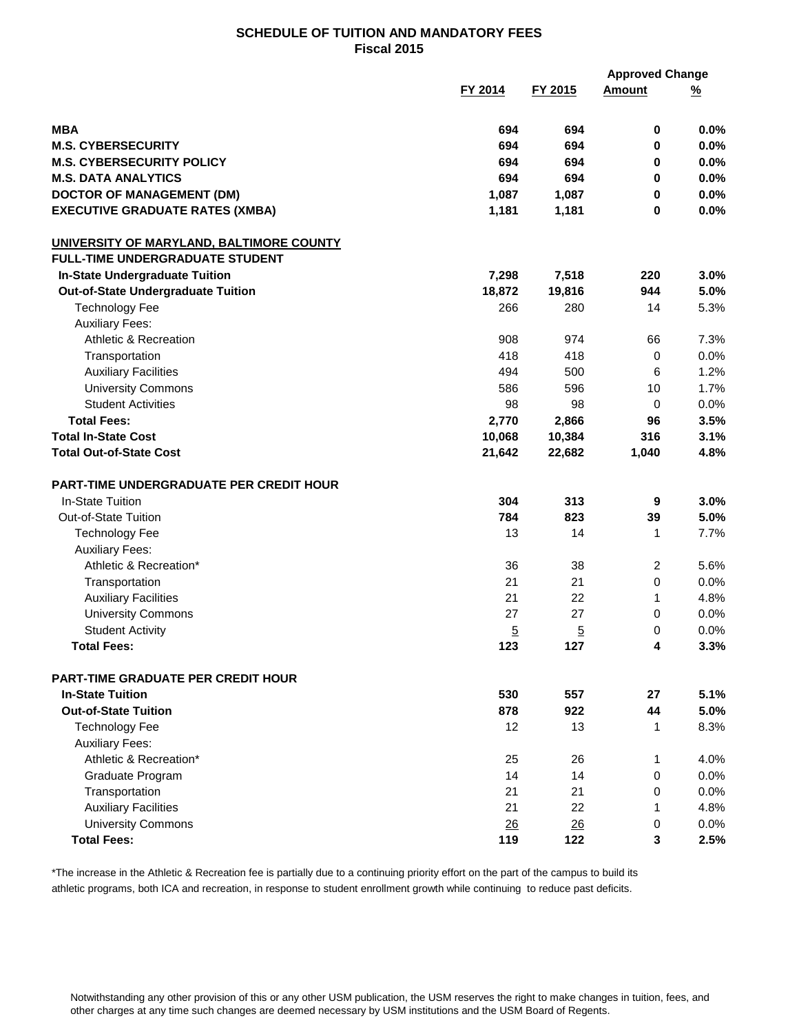|                                                | FY 2014        | FY 2015        | <b>Amount</b>  | <u>%</u> |
|------------------------------------------------|----------------|----------------|----------------|----------|
| <b>MBA</b>                                     | 694            | 694            | 0              | 0.0%     |
| <b>M.S. CYBERSECURITY</b>                      | 694            | 694            | 0              | 0.0%     |
| <b>M.S. CYBERSECURITY POLICY</b>               | 694            | 694            | 0              | 0.0%     |
| <b>M.S. DATA ANALYTICS</b>                     | 694            | 694            | 0              | 0.0%     |
| <b>DOCTOR OF MANAGEMENT (DM)</b>               | 1,087          | 1,087          | $\pmb{0}$      | 0.0%     |
| <b>EXECUTIVE GRADUATE RATES (XMBA)</b>         | 1,181          | 1,181          | $\mathbf 0$    | 0.0%     |
| UNIVERSITY OF MARYLAND, BALTIMORE COUNTY       |                |                |                |          |
| <b>FULL-TIME UNDERGRADUATE STUDENT</b>         |                |                |                |          |
| <b>In-State Undergraduate Tuition</b>          | 7,298          | 7,518          | 220            | 3.0%     |
| <b>Out-of-State Undergraduate Tuition</b>      | 18,872         | 19,816         | 944            | 5.0%     |
| <b>Technology Fee</b>                          | 266            | 280            | 14             | 5.3%     |
| <b>Auxiliary Fees:</b>                         |                |                |                |          |
| Athletic & Recreation                          | 908            | 974            | 66             | 7.3%     |
| Transportation                                 | 418            | 418            | $\mathbf 0$    | 0.0%     |
| <b>Auxiliary Facilities</b>                    | 494            | 500            | 6              | 1.2%     |
| <b>University Commons</b>                      | 586            | 596            | 10             | 1.7%     |
| <b>Student Activities</b>                      | 98             | 98             | $\mathbf 0$    | 0.0%     |
| <b>Total Fees:</b>                             | 2,770          | 2,866          | 96             | 3.5%     |
| <b>Total In-State Cost</b>                     | 10,068         | 10,384         | 316            | 3.1%     |
| <b>Total Out-of-State Cost</b>                 | 21,642         | 22,682         | 1,040          | 4.8%     |
| <b>PART-TIME UNDERGRADUATE PER CREDIT HOUR</b> |                |                |                |          |
| In-State Tuition                               | 304            | 313            | 9              | 3.0%     |
| Out-of-State Tuition                           | 784            | 823            | 39             | 5.0%     |
| <b>Technology Fee</b>                          | 13             | 14             | $\mathbf{1}$   | 7.7%     |
| <b>Auxiliary Fees:</b>                         |                |                |                |          |
| Athletic & Recreation*                         | 36             | 38             | $\overline{2}$ | 5.6%     |
| Transportation                                 | 21             | 21             | $\mathbf 0$    | 0.0%     |
| <b>Auxiliary Facilities</b>                    | 21             | 22             | 1              | 4.8%     |
| <b>University Commons</b>                      | 27             | 27             | 0              | 0.0%     |
| <b>Student Activity</b>                        | $\overline{5}$ | $\overline{5}$ | 0              | 0.0%     |
| <b>Total Fees:</b>                             | 123            | 127            | 4              | 3.3%     |
| <b>PART-TIME GRADUATE PER CREDIT HOUR</b>      |                |                |                |          |
| <b>In-State Tuition</b>                        | 530            | 557            | 27             | 5.1%     |
| <b>Out-of-State Tuition</b>                    | 878            | 922            | 44             | 5.0%     |
| <b>Technology Fee</b>                          | 12             | 13             | $\mathbf{1}$   | 8.3%     |
| <b>Auxiliary Fees:</b>                         |                |                |                |          |
| Athletic & Recreation*                         | 25             | 26             | 1              | 4.0%     |
| Graduate Program                               | 14             | 14             | 0              | 0.0%     |
| Transportation                                 | 21             | 21             | 0              | 0.0%     |
| <b>Auxiliary Facilities</b>                    | 21             | 22             | 1              | 4.8%     |
| <b>University Commons</b>                      | 26             | 26             | 0              | 0.0%     |
| <b>Total Fees:</b>                             | 119            | 122            | 3              | 2.5%     |

\*The increase in the Athletic & Recreation fee is partially due to a continuing priority effort on the part of the campus to build its athletic programs, both ICA and recreation, in response to student enrollment growth while continuing to reduce past deficits.